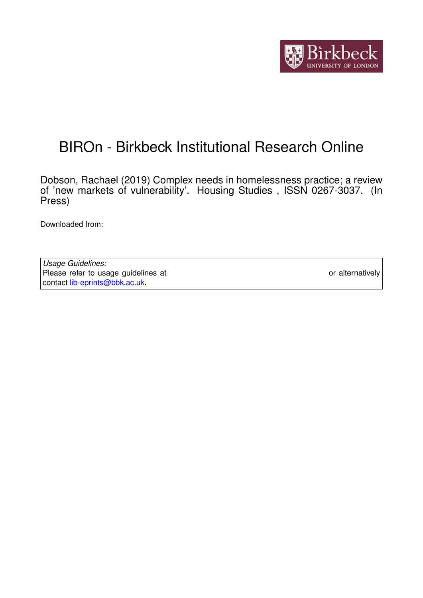

# BIROn - Birkbeck Institutional Research Online

Dobson, Rachael (2019) Complex needs in homelessness practice; a review of 'new markets of vulnerability'. Housing Studies , ISSN 0267-3037. (In Press)

Downloaded from: <https://eprints.bbk.ac.uk/id/eprint/26098/>

*Usage Guidelines:* Please refer to usage guidelines at <https://eprints.bbk.ac.uk/policies.html> or alternatively contact [lib-eprints@bbk.ac.uk.](mailto:lib-eprints@bbk.ac.uk)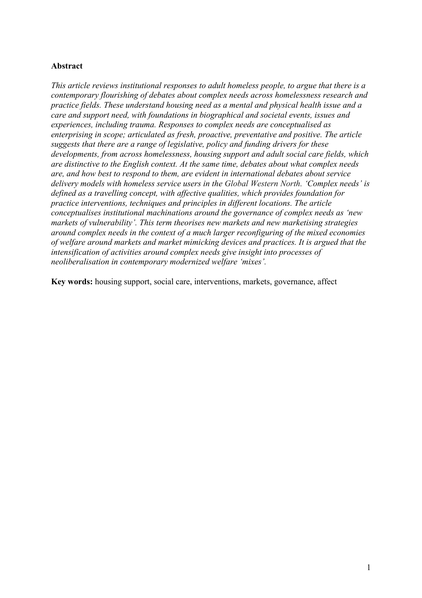#### **Abstract**

*This article reviews institutional responses to adult homeless people, to argue that there is a contemporary flourishing of debates about complex needs across homelessness research and practice fields. These understand housing need as a mental and physical health issue and a care and support need, with foundations in biographical and societal events, issues and experiences, including trauma. Responses to complex needs are conceptualised as enterprising in scope; articulated as fresh, proactive, preventative and positive. The article suggests that there are a range of legislative, policy and funding drivers for these developments, from across homelessness, housing support and adult social care fields, which are distinctive to the English context. At the same time, debates about what complex needs are, and how best to respond to them, are evident in international debates about service delivery models with homeless service users in the Global Western North. 'Complex needs' is defined as a travelling concept, with affective qualities, which provides foundation for practice interventions, techniques and principles in different locations. The article conceptualises institutional machinations around the governance of complex needs as 'new markets of vulnerability'. This term theorises new markets and new marketising strategies around complex needs in the context of a much larger reconfiguring of the mixed economies of welfare around markets and market mimicking devices and practices. It is argued that the intensification of activities around complex needs give insight into processes of neoliberalisation in contemporary modernized welfare 'mixes'.*

**Key words:** housing support, social care, interventions, markets, governance, affect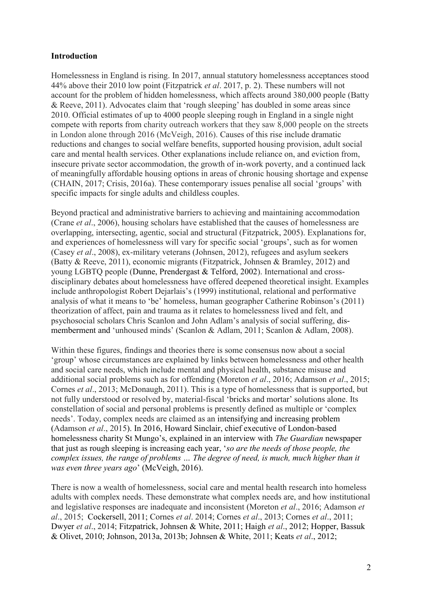# **Introduction**

Homelessness in England is rising. In 2017, annual statutory homelessness acceptances stood 44% above their 2010 low point (Fitzpatrick *et al*. 2017, p. 2). These numbers will not account for the problem of hidden homelessness, which affects around 380,000 people (Batty & Reeve, 2011). Advocates claim that 'rough sleeping' has doubled in some areas since 2010. Official estimates of up to 4000 people sleeping rough in England in a single night compete with reports from charity outreach workers that they saw 8,000 people on the streets in London alone through 2016 (McVeigh, 2016). Causes of this rise include dramatic reductions and changes to social welfare benefits, supported housing provision, adult social care and mental health services. Other explanations include reliance on, and eviction from, insecure private sector accommodation, the growth of in-work poverty, and a continued lack of meaningfully affordable housing options in areas of chronic housing shortage and expense (CHAIN, 2017; Crisis, 2016a). These contemporary issues penalise all social 'groups' with specific impacts for single adults and childless couples.

Beyond practical and administrative barriers to achieving and maintaining accommodation (Crane *et al*., 2006), housing scholars have established that the causes of homelessness are overlapping, intersecting, agentic, social and structural (Fitzpatrick, 2005). Explanations for, and experiences of homelessness will vary for specific social 'groups', such as for women (Casey *et al*., 2008), ex-military veterans (Johnsen, 2012), refugees and asylum seekers (Batty & Reeve, 2011), economic migrants (Fitzpatrick, Johnsen & Bramley, 2012) and young LGBTQ people (Dunne, Prendergast & Telford, 2002). International and crossdisciplinary debates about homelessness have offered deepened theoretical insight. Examples include anthropologist Robert Dejarlais's (1999) institutional, relational and performative analysis of what it means to 'be' homeless, human geographer Catherine Robinson's (2011) theorization of affect, pain and trauma as it relates to homelessness lived and felt, and psychosocial scholars Chris Scanlon and John Adlam's analysis of social suffering, dismemberment and 'unhoused minds' (Scanlon & Adlam, 2011; Scanlon & Adlam, 2008).

Within these figures, findings and theories there is some consensus now about a social 'group' whose circumstances are explained by links between homelessness and other health and social care needs, which include mental and physical health, substance misuse and additional social problems such as for offending (Moreton *et al*., 2016; Adamson *et al*., 2015; Cornes *et al*., 2013; McDonaugh, 2011). This is a type of homelessness that is supported, but not fully understood or resolved by, material-fiscal 'bricks and mortar' solutions alone. Its constellation of social and personal problems is presently defined as multiple or 'complex needs'. Today, complex needs are claimed as an intensifying and increasing problem (Adamson *et al*., 2015). In 2016, Howard Sinclair, chief executive of London-based homelessness charity St Mungo's, explained in an interview with *The Guardian* newspaper that just as rough sleeping is increasing each year, '*so are the needs of those people, the complex issues, the range of problems … The degree of need, is much, much higher than it was even three years ago*' (McVeigh, 2016).

There is now a wealth of homelessness, social care and mental health research into homeless adults with complex needs. These demonstrate what complex needs are, and how institutional and legislative responses are inadequate and inconsistent (Moreton *et al*., 2016; Adamson *et al*., 2015; Cockersell, 2011; Cornes *et al*. 2014; Cornes *et al*., 2013; Cornes *et al*., 2011; Dwyer *et al*., 2014; Fitzpatrick, Johnsen & White, 2011; Haigh *et al*., 2012; Hopper, Bassuk & Olivet, 2010; Johnson, 2013a, 2013b; Johnsen & White, 2011; Keats *et al*., 2012;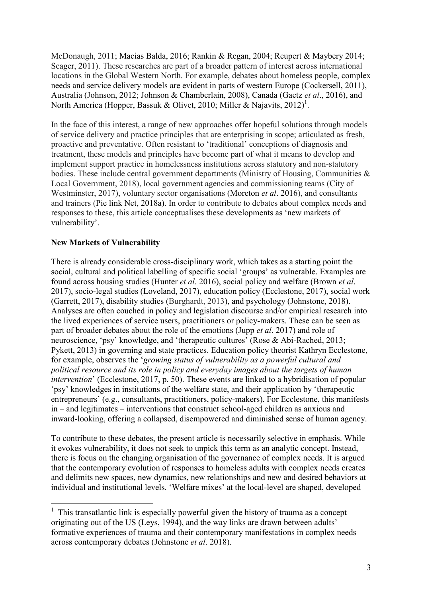McDonaugh, 2011; Macias Balda, 2016; Rankin & Regan, 2004; Reupert & Maybery 2014; Seager, 2011). These researches are part of a broader pattern of interest across international locations in the Global Western North. For example, debates about homeless people, complex needs and service delivery models are evident in parts of western Europe (Cockersell, 2011), Australia (Johnson, 2012; Johnson & Chamberlain, 2008), Canada (Gaetz *et al*., 2016), and North America (Hopper, Bassuk & Olivet, 2010; Miller & Najavits, 2012)<sup>1</sup>.

In the face of this interest, a range of new approaches offer hopeful solutions through models of service delivery and practice principles that are enterprising in scope; articulated as fresh, proactive and preventative. Often resistant to 'traditional' conceptions of diagnosis and treatment, these models and principles have become part of what it means to develop and implement support practice in homelessness institutions across statutory and non-statutory bodies. These include central government departments (Ministry of Housing, Communities & Local Government, 2018), local government agencies and commissioning teams (City of Westminster, 2017), voluntary sector organisations (Moreton *et al*. 2016), and consultants and trainers (Pie link Net, 2018a). In order to contribute to debates about complex needs and responses to these, this article conceptualises these developments as 'new markets of vulnerability'.

# **New Markets of Vulnerability**

 $\overline{a}$ 

There is already considerable cross-disciplinary work, which takes as a starting point the social, cultural and political labelling of specific social 'groups' as vulnerable. Examples are found across housing studies (Hunter *et al*. 2016), social policy and welfare (Brown *et al*. 2017), socio-legal studies (Loveland, 2017), education policy (Ecclestone, 2017), social work (Garrett, 2017), disability studies (Burghardt, 2013), and psychology (Johnstone, 2018). Analyses are often couched in policy and legislation discourse and/or empirical research into the lived experiences of service users, practitioners or policy-makers. These can be seen as part of broader debates about the role of the emotions (Jupp *et al*. 2017) and role of neuroscience, 'psy' knowledge, and 'therapeutic cultures' (Rose & Abi-Rached, 2013; Pykett, 2013) in governing and state practices. Education policy theorist Kathryn Ecclestone, for example, observes the '*growing status of vulnerability as a powerful cultural and political resource and its role in policy and everyday images about the targets of human intervention*' (Ecclestone, 2017, p. 50). These events are linked to a hybridisation of popular 'psy' knowledges in institutions of the welfare state, and their application by 'therapeutic entrepreneurs' (e.g., consultants, practitioners, policy-makers). For Ecclestone, this manifests in – and legitimates – interventions that construct school-aged children as anxious and inward-looking, offering a collapsed, disempowered and diminished sense of human agency.

To contribute to these debates, the present article is necessarily selective in emphasis. While it evokes vulnerability, it does not seek to unpick this term as an analytic concept. Instead, there is focus on the changing organisation of the governance of complex needs. It is argued that the contemporary evolution of responses to homeless adults with complex needs creates and delimits new spaces, new dynamics, new relationships and new and desired behaviors at individual and institutional levels. 'Welfare mixes' at the local-level are shaped, developed

 $<sup>1</sup>$  This transatlantic link is especially powerful given the history of trauma as a concept</sup> originating out of the US (Leys, 1994), and the way links are drawn between adults' formative experiences of trauma and their contemporary manifestations in complex needs across contemporary debates (Johnstone *et al*. 2018).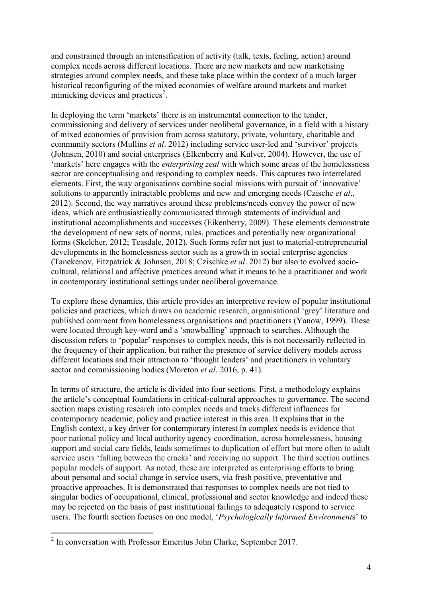and constrained through an intensification of activity (talk, texts, feeling, action) around complex needs across different locations. There are new markets and new marketising strategies around complex needs, and these take place within the context of a much larger historical reconfiguring of the mixed economies of welfare around markets and market mimicking devices and practices<sup>2</sup>.

In deploying the term 'markets' there is an instrumental connection to the tender, commissioning and delivery of services under neoliberal governance, in a field with a history of mixed economies of provision from across statutory, private, voluntary, charitable and community sectors (Mullins *et al*. 2012) including service user-led and 'survivor' projects (Johnsen, 2010) and social enterprises (Elkenberry and Kulver, 2004). However, the use of 'markets' here engages with the *enterprising zeal* with which some areas of the homelessness sector are conceptualising and responding to complex needs. This captures two interrelated elements. First, the way organisations combine social missions with pursuit of 'innovative' solutions to apparently intractable problems and new and emerging needs (Czische *et al*., 2012). Second, the way narratives around these problems/needs convey the power of new ideas, which are enthusiastically communicated through statements of individual and institutional accomplishments and successes (Eikenberry, 2009). These elements demonstrate the development of new sets of norms, rules, practices and potentially new organizational forms (Skelcher, 2012; Teasdale, 2012). Such forms refer not just to material-entrepreneurial developments in the homelessness sector such as a growth in social enterprise agencies (Tanekenov, Fitzpatrick & Johnsen, 2018; Czischke *et al*. 2012) but also to evolved sociocultural, relational and affective practices around what it means to be a practitioner and work in contemporary institutional settings under neoliberal governance.

To explore these dynamics, this article provides an interpretive review of popular institutional policies and practices, which draws on academic research, organisational 'grey' literature and published comment from homelessness organisations and practitioners (Yanow, 1999). These were located through key-word and a 'snowballing' approach to searches. Although the discussion refers to 'popular' responses to complex needs, this is not necessarily reflected in the frequency of their application, but rather the presence of service delivery models across different locations and their attraction to 'thought leaders' and practitioners in voluntary sector and commissioning bodies (Moreton *et al*. 2016, p. 41).

In terms of structure, the article is divided into four sections. First, a methodology explains the article's conceptual foundations in critical-cultural approaches to governance. The second section maps existing research into complex needs and tracks different influences for contemporary academic, policy and practice interest in this area. It explains that in the English context, a key driver for contemporary interest in complex needs is evidence that poor national policy and local authority agency coordination, across homelessness, housing support and social care fields, leads sometimes to duplication of effort but more often to adult service users 'falling between the cracks' and receiving no support. The third section outlines popular models of support. As noted, these are interpreted as enterprising efforts to bring about personal and social change in service users, via fresh positive, preventative and proactive approaches. It is demonstrated that responses to complex needs are not tied to singular bodies of occupational, clinical, professional and sector knowledge and indeed these may be rejected on the basis of past institutional failings to adequately respond to service users. The fourth section focuses on one model, '*Psychologically Informed Environment*s' to

 $\overline{a}$ 

 $2$  In conversation with Professor Emeritus John Clarke, September 2017.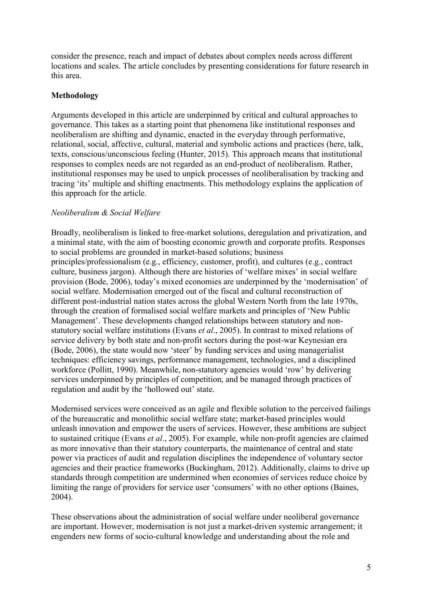consider the presence, reach and impact of debates about complex needs across different locations and scales. The article concludes by presenting considerations for future research in this area.

## **Methodology**

Arguments developed in this article are underpinned by critical and cultural approaches to governance. This takes as a starting point that phenomena like institutional responses and neoliberalism are shifting and dynamic, enacted in the everyday through performative, relational, social, affective, cultural, material and symbolic actions and practices (here, talk, texts, conscious/unconscious feeling (Hunter, 2015). This approach means that institutional responses to complex needs are not regarded as an end-product of neoliberalism. Rather, institutional responses may be used to unpick processes of neoliberalisation by tracking and tracing 'its' multiple and shifting enactments. This methodology explains the application of this approach for the article.

## *Neoliberalism & Social Welfare*

Broadly, neoliberalism is linked to free-market solutions, deregulation and privatization, and a minimal state, with the aim of boosting economic growth and corporate profits. Responses to social problems are grounded in market-based solutions; business principles/professionalism (e.g., efficiency, customer, profit), and cultures (e.g., contract culture, business jargon). Although there are histories of 'welfare mixes' in social welfare provision (Bode, 2006), today's mixed economies are underpinned by the 'modernisation' of social welfare. Modernisation emerged out of the fiscal and cultural reconstruction of different post-industrial nation states across the global Western North from the late 1970s, through the creation of formalised social welfare markets and principles of 'New Public Management'. These developments changed relationships between statutory and nonstatutory social welfare institutions (Evans *et al*., 2005). In contrast to mixed relations of service delivery by both state and non-profit sectors during the post-war Keynesian era (Bode, 2006), the state would now 'steer' by funding services and using managerialist techniques: efficiency savings, performance management, technologies, and a disciplined workforce (Pollitt, 1990). Meanwhile, non-statutory agencies would 'row' by delivering services underpinned by principles of competition, and be managed through practices of regulation and audit by the 'hollowed out' state.

Modernised services were conceived as an agile and flexible solution to the perceived failings of the bureaucratic and monolithic social welfare state; market-based principles would unleash innovation and empower the users of services. However, these ambitions are subject to sustained critique (Evans *et al*., 2005). For example, while non-profit agencies are claimed as more innovative than their statutory counterparts, the maintenance of central and state power via practices of audit and regulation disciplines the independence of voluntary sector agencies and their practice frameworks (Buckingham, 2012). Additionally, claims to drive up standards through competition are undermined when economies of services reduce choice by limiting the range of providers for service user 'consumers' with no other options (Baines, 2004).

These observations about the administration of social welfare under neoliberal governance are important. However, modernisation is not just a market-driven systemic arrangement; it engenders new forms of socio-cultural knowledge and understanding about the role and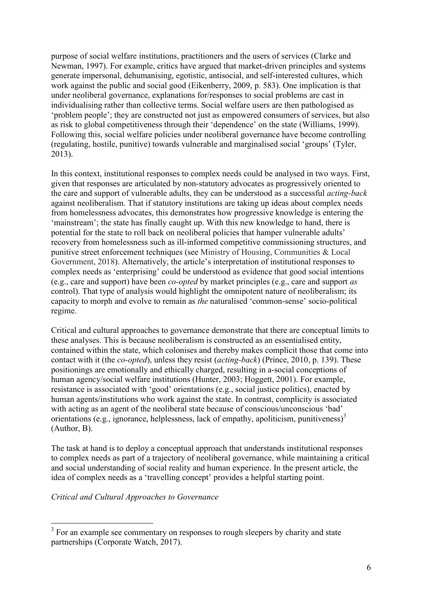purpose of social welfare institutions, practitioners and the users of services (Clarke and Newman, 1997). For example, critics have argued that market-driven principles and systems generate impersonal, dehumanising, egotistic, antisocial, and self-interested cultures, which work against the public and social good (Eikenberry, 2009, p. 583). One implication is that under neoliberal governance, explanations for/responses to social problems are cast in individualising rather than collective terms. Social welfare users are then pathologised as 'problem people'; they are constructed not just as empowered consumers of services, but also as risk to global competitiveness through their 'dependence' on the state (Williams, 1999). Following this, social welfare policies under neoliberal governance have become controlling (regulating, hostile, punitive) towards vulnerable and marginalised social 'groups' (Tyler, 2013).

In this context, institutional responses to complex needs could be analysed in two ways. First, given that responses are articulated by non-statutory advocates as progressively oriented to the care and support of vulnerable adults, they can be understood as a successful *acting-back* against neoliberalism. That if statutory institutions are taking up ideas about complex needs from homelessness advocates, this demonstrates how progressive knowledge is entering the 'mainstream'; the state has finally caught up. With this new knowledge to hand, there is potential for the state to roll back on neoliberal policies that hamper vulnerable adults' recovery from homelessness such as ill-informed competitive commissioning structures, and punitive street enforcement techniques (see Ministry of Housing, Communities & Local Government, 2018). Alternatively, the article's interpretation of institutional responses to complex needs as 'enterprising' could be understood as evidence that good social intentions (e.g., care and support) have been *co-opted* by market principles (e.g., care and support *as*  control). That type of analysis would highlight the omnipotent nature of neoliberalism; its capacity to morph and evolve to remain as *the* naturalised 'common-sense' socio-political regime.

Critical and cultural approaches to governance demonstrate that there are conceptual limits to these analyses. This is because neoliberalism is constructed as an essentialised entity, contained within the state, which colonises and thereby makes complicit those that come into contact with it (the *co-opted*), unless they resist (*acting-back*) (Prince, 2010, p. 139). These positionings are emotionally and ethically charged, resulting in a-social conceptions of human agency/social welfare institutions (Hunter, 2003; Hoggett, 2001). For example, resistance is associated with 'good' orientations (e.g., social justice politics), enacted by human agents/institutions who work against the state. In contrast, complicity is associated with acting as an agent of the neoliberal state because of conscious/unconscious 'bad' orientations (e.g., ignorance, helplessness, lack of empathy, apoliticism, punitiveness)<sup>3</sup> (Author, B).

The task at hand is to deploy a conceptual approach that understands institutional responses to complex needs as part of a trajectory of neoliberal governance, while maintaining a critical and social understanding of social reality and human experience. In the present article, the idea of complex needs as a 'travelling concept' provides a helpful starting point.

*Critical and Cultural Approaches to Governance*

<sup>&</sup>lt;sup>3</sup> For an example see commentary on responses to rough sleepers by charity and state partnerships (Corporate Watch, 2017).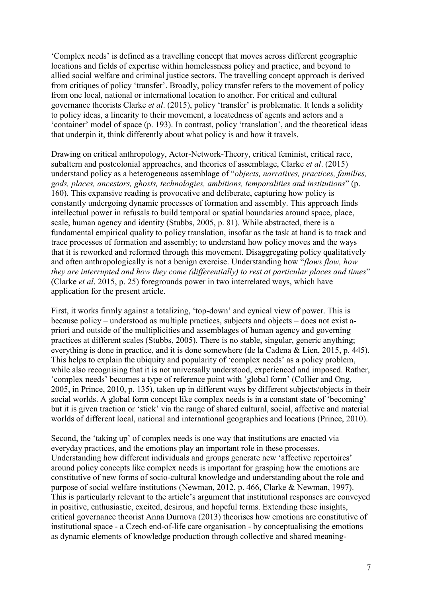'Complex needs' is defined as a travelling concept that moves across different geographic locations and fields of expertise within homelessness policy and practice, and beyond to allied social welfare and criminal justice sectors. The travelling concept approach is derived from critiques of policy 'transfer'. Broadly, policy transfer refers to the movement of policy from one local, national or international location to another. For critical and cultural governance theorists Clarke *et al*. (2015), policy 'transfer' is problematic. It lends a solidity to policy ideas, a linearity to their movement, a locatedness of agents and actors and a 'container' model of space (p. 193). In contrast, policy 'translation', and the theoretical ideas that underpin it, think differently about what policy is and how it travels.

Drawing on critical anthropology, Actor-Network-Theory, critical feminist, critical race, subaltern and postcolonial approaches, and theories of assemblage, Clarke *et al*. (2015) understand policy as a heterogeneous assemblage of "*objects, narratives, practices, families, gods, places, ancestors, ghosts, technologies, ambitions, temporalities and institutions*" (p. 160). This expansive reading is provocative and deliberate, capturing how policy is constantly undergoing dynamic processes of formation and assembly. This approach finds intellectual power in refusals to build temporal or spatial boundaries around space, place, scale, human agency and identity (Stubbs, 2005, p. 81). While abstracted, there is a fundamental empirical quality to policy translation, insofar as the task at hand is to track and trace processes of formation and assembly; to understand how policy moves and the ways that it is reworked and reformed through this movement. Disaggregating policy qualitatively and often anthropologically is not a benign exercise. Understanding how "*flows flow, how they are interrupted and how they come (differentially) to rest at particular places and times*" (Clarke *et al*. 2015, p. 25) foregrounds power in two interrelated ways, which have application for the present article.

First, it works firmly against a totalizing, 'top-down' and cynical view of power. This is because policy – understood as multiple practices, subjects and objects – does not exist apriori and outside of the multiplicities and assemblages of human agency and governing practices at different scales (Stubbs, 2005). There is no stable, singular, generic anything; everything is done in practice, and it is done somewhere (de la Cadena & Lien, 2015, p. 445). This helps to explain the ubiquity and popularity of 'complex needs' as a policy problem, while also recognising that it is not universally understood, experienced and imposed. Rather, 'complex needs' becomes a type of reference point with 'global form' (Collier and Ong, 2005, in Prince, 2010, p. 135), taken up in different ways by different subjects/objects in their social worlds. A global form concept like complex needs is in a constant state of 'becoming' but it is given traction or 'stick' via the range of shared cultural, social, affective and material worlds of different local, national and international geographies and locations (Prince, 2010).

Second, the 'taking up' of complex needs is one way that institutions are enacted via everyday practices, and the emotions play an important role in these processes. Understanding how different individuals and groups generate new 'affective repertoires' around policy concepts like complex needs is important for grasping how the emotions are constitutive of new forms of socio-cultural knowledge and understanding about the role and purpose of social welfare institutions (Newman, 2012, p. 466, Clarke & Newman, 1997). This is particularly relevant to the article's argument that institutional responses are conveyed in positive, enthusiastic, excited, desirous, and hopeful terms. Extending these insights, critical governance theorist Anna Durnova (2013) theorises how emotions are constitutive of institutional space - a Czech end-of-life care organisation - by conceptualising the emotions as dynamic elements of knowledge production through collective and shared meaning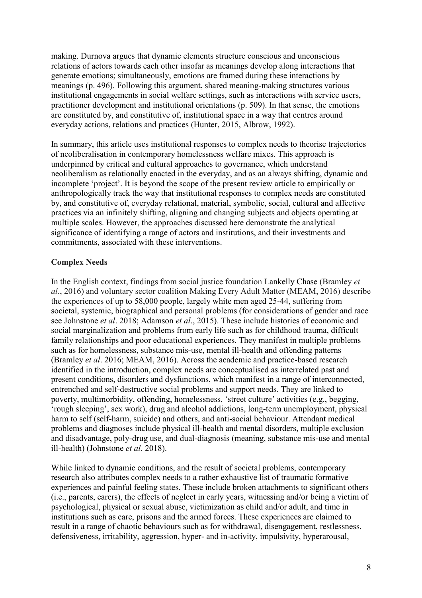making. Durnova argues that dynamic elements structure conscious and unconscious relations of actors towards each other insofar as meanings develop along interactions that generate emotions; simultaneously, emotions are framed during these interactions by meanings (p. 496). Following this argument, shared meaning-making structures various institutional engagements in social welfare settings, such as interactions with service users, practitioner development and institutional orientations (p. 509). In that sense, the emotions are constituted by, and constitutive of, institutional space in a way that centres around everyday actions, relations and practices (Hunter, 2015, Albrow, 1992).

In summary, this article uses institutional responses to complex needs to theorise trajectories of neoliberalisation in contemporary homelessness welfare mixes. This approach is underpinned by critical and cultural approaches to governance, which understand neoliberalism as relationally enacted in the everyday, and as an always shifting, dynamic and incomplete 'project'. It is beyond the scope of the present review article to empirically or anthropologically track the way that institutional responses to complex needs are constituted by, and constitutive of, everyday relational, material, symbolic, social, cultural and affective practices via an infinitely shifting, aligning and changing subjects and objects operating at multiple scales. However, the approaches discussed here demonstrate the analytical significance of identifying a range of actors and institutions, and their investments and commitments, associated with these interventions.

# **Complex Needs**

In the English context, findings from social justice foundation Lankelly Chase (Bramley *et al*., 2016) and voluntary sector coalition Making Every Adult Matter (MEAM, 2016) describe the experiences of up to 58,000 people, largely white men aged 25-44, suffering from societal, systemic, biographical and personal problems (for considerations of gender and race see Johnstone *et al*. 2018; Adamson *et al*., 2015). These include histories of economic and social marginalization and problems from early life such as for childhood trauma, difficult family relationships and poor educational experiences. They manifest in multiple problems such as for homelessness, substance mis-use, mental ill-health and offending patterns (Bramley *et al*. 2016; MEAM, 2016). Across the academic and practice-based research identified in the introduction, complex needs are conceptualised as interrelated past and present conditions, disorders and dysfunctions, which manifest in a range of interconnected, entrenched and self-destructive social problems and support needs. They are linked to poverty, multimorbidity, offending, homelessness, 'street culture' activities (e.g., begging, 'rough sleeping', sex work), drug and alcohol addictions, long-term unemployment, physical harm to self (self-harm, suicide) and others, and anti-social behaviour. Attendant medical problems and diagnoses include physical ill-health and mental disorders, multiple exclusion and disadvantage, poly-drug use, and dual-diagnosis (meaning, substance mis-use and mental ill-health) (Johnstone *et al*. 2018).

While linked to dynamic conditions, and the result of societal problems, contemporary research also attributes complex needs to a rather exhaustive list of traumatic formative experiences and painful feeling states. These include broken attachments to significant others (i.e., parents, carers), the effects of neglect in early years, witnessing and/or being a victim of psychological, physical or sexual abuse, victimization as child and/or adult, and time in institutions such as care, prisons and the armed forces. These experiences are claimed to result in a range of chaotic behaviours such as for withdrawal, disengagement, restlessness, defensiveness, irritability, aggression, hyper- and in-activity, impulsivity, hyperarousal,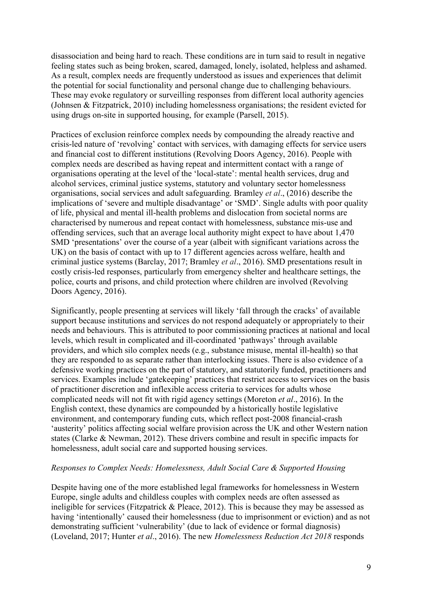disassociation and being hard to reach. These conditions are in turn said to result in negative feeling states such as being broken, scared, damaged, lonely, isolated, helpless and ashamed. As a result, complex needs are frequently understood as issues and experiences that delimit the potential for social functionality and personal change due to challenging behaviours. These may evoke regulatory or surveilling responses from different local authority agencies (Johnsen & Fitzpatrick, 2010) including homelessness organisations; the resident evicted for using drugs on-site in supported housing, for example (Parsell, 2015).

Practices of exclusion reinforce complex needs by compounding the already reactive and crisis-led nature of 'revolving' contact with services, with damaging effects for service users and financial cost to different institutions (Revolving Doors Agency, 2016). People with complex needs are described as having repeat and intermittent contact with a range of organisations operating at the level of the 'local-state': mental health services, drug and alcohol services, criminal justice systems, statutory and voluntary sector homelessness organisations, social services and adult safeguarding. Bramley *et al*., (2016) describe the implications of 'severe and multiple disadvantage' or 'SMD'. Single adults with poor quality of life, physical and mental ill-health problems and dislocation from societal norms are characterised by numerous and repeat contact with homelessness, substance mis-use and offending services, such that an average local authority might expect to have about 1,470 SMD 'presentations' over the course of a year (albeit with significant variations across the UK) on the basis of contact with up to 17 different agencies across welfare, health and criminal justice systems (Barclay, 2017; Bramley *et al*., 2016). SMD presentations result in costly crisis-led responses, particularly from emergency shelter and healthcare settings, the police, courts and prisons, and child protection where children are involved (Revolving Doors Agency, 2016).

Significantly, people presenting at services will likely 'fall through the cracks' of available support because institutions and services do not respond adequately or appropriately to their needs and behaviours. This is attributed to poor commissioning practices at national and local levels, which result in complicated and ill-coordinated 'pathways' through available providers, and which silo complex needs (e.g., substance misuse, mental ill-health) so that they are responded to as separate rather than interlocking issues. There is also evidence of a defensive working practices on the part of statutory, and statutorily funded, practitioners and services. Examples include 'gatekeeping' practices that restrict access to services on the basis of practitioner discretion and inflexible access criteria to services for adults whose complicated needs will not fit with rigid agency settings (Moreton *et al*., 2016). In the English context, these dynamics are compounded by a historically hostile legislative environment, and contemporary funding cuts, which reflect post-2008 financial-crash 'austerity' politics affecting social welfare provision across the UK and other Western nation states (Clarke & Newman, 2012). These drivers combine and result in specific impacts for homelessness, adult social care and supported housing services.

#### *Responses to Complex Needs: Homelessness, Adult Social Care & Supported Housing*

Despite having one of the more established legal frameworks for homelessness in Western Europe, single adults and childless couples with complex needs are often assessed as ineligible for services (Fitzpatrick & Pleace, 2012). This is because they may be assessed as having 'intentionally' caused their homelessness (due to imprisonment or eviction) and as not demonstrating sufficient 'vulnerability' (due to lack of evidence or formal diagnosis) (Loveland, 2017; Hunter *et al*., 2016). The new *Homelessness Reduction Act 2018* responds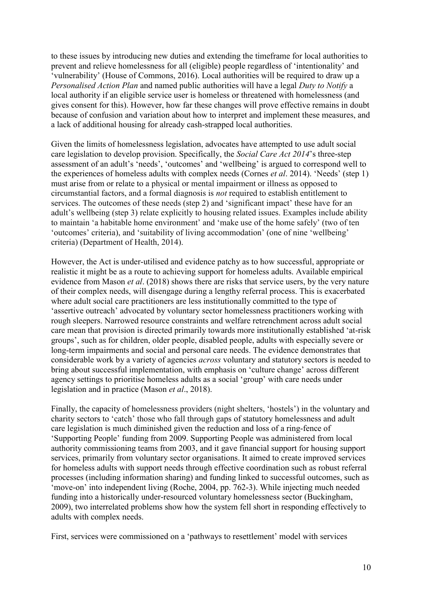to these issues by introducing new duties and extending the timeframe for local authorities to prevent and relieve homelessness for all (eligible) people regardless of 'intentionality' and 'vulnerability' (House of Commons, 2016). Local authorities will be required to draw up a *Personalised Action Plan* and named public authorities will have a legal *Duty to Notify* a local authority if an eligible service user is homeless or threatened with homelessness (and gives consent for this). However, how far these changes will prove effective remains in doubt because of confusion and variation about how to interpret and implement these measures, and a lack of additional housing for already cash-strapped local authorities.

Given the limits of homelessness legislation, advocates have attempted to use adult social care legislation to develop provision. Specifically, the *Social Care Act 2014*'s three-step assessment of an adult's 'needs', 'outcomes' and 'wellbeing' is argued to correspond well to the experiences of homeless adults with complex needs (Cornes *et al*. 2014). 'Needs' (step 1) must arise from or relate to a physical or mental impairment or illness as opposed to circumstantial factors, and a formal diagnosis is *not* required to establish entitlement to services. The outcomes of these needs (step 2) and 'significant impact' these have for an adult's wellbeing (step 3) relate explicitly to housing related issues. Examples include ability to maintain 'a habitable home environment' and 'make use of the home safely' (two of ten 'outcomes' criteria), and 'suitability of living accommodation' (one of nine 'wellbeing' criteria) (Department of Health, 2014).

However, the Act is under-utilised and evidence patchy as to how successful, appropriate or realistic it might be as a route to achieving support for homeless adults. Available empirical evidence from Mason *et al*. (2018) shows there are risks that service users, by the very nature of their complex needs, will disengage during a lengthy referral process. This is exacerbated where adult social care practitioners are less institutionally committed to the type of 'assertive outreach' advocated by voluntary sector homelessness practitioners working with rough sleepers. Narrowed resource constraints and welfare retrenchment across adult social care mean that provision is directed primarily towards more institutionally established 'at-risk groups', such as for children, older people, disabled people, adults with especially severe or long-term impairments and social and personal care needs. The evidence demonstrates that considerable work by a variety of agencies *across* voluntary and statutory sectors is needed to bring about successful implementation, with emphasis on 'culture change' across different agency settings to prioritise homeless adults as a social 'group' with care needs under legislation and in practice (Mason *et al*., 2018).

Finally, the capacity of homelessness providers (night shelters, 'hostels') in the voluntary and charity sectors to 'catch' those who fall through gaps of statutory homelessness and adult care legislation is much diminished given the reduction and loss of a ring-fence of 'Supporting People' funding from 2009. Supporting People was administered from local authority commissioning teams from 2003, and it gave financial support for housing support services, primarily from voluntary sector organisations. It aimed to create improved services for homeless adults with support needs through effective coordination such as robust referral processes (including information sharing) and funding linked to successful outcomes, such as 'move-on' into independent living (Roche, 2004, pp. 762-3). While injecting much needed funding into a historically under-resourced voluntary homelessness sector (Buckingham, 2009), two interrelated problems show how the system fell short in responding effectively to adults with complex needs.

First, services were commissioned on a 'pathways to resettlement' model with services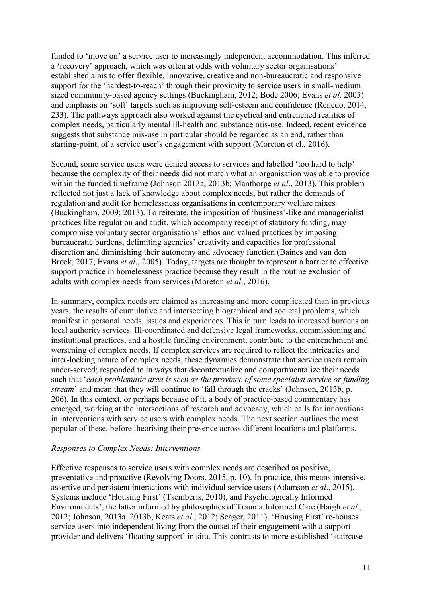funded to 'move on' a service user to increasingly independent accommodation. This inferred a 'recovery' approach, which was often at odds with voluntary sector organisations' established aims to offer flexible, innovative, creative and non-bureaucratic and responsive support for the 'hardest-to-reach' through their proximity to service users in small-medium sized community-based agency settings (Buckingham, 2012; Bode 2006; Evans *et al*. 2005) and emphasis on 'soft' targets such as improving self-esteem and confidence (Renedo, 2014, 233). The pathways approach also worked against the cyclical and entrenched realities of complex needs, particularly mental ill-health and substance mis-use. Indeed, recent evidence suggests that substance mis-use in particular should be regarded as an end, rather than starting-point, of a service user's engagement with support (Moreton et el., 2016).

Second, some service users were denied access to services and labelled 'too hard to help' because the complexity of their needs did not match what an organisation was able to provide within the funded timeframe (Johnson 2013a, 2013b; Manthorpe *et al*., 2013). This problem reflected not just a lack of knowledge about complex needs, but rather the demands of regulation and audit for homelessness organisations in contemporary welfare mixes (Buckingham, 2009; 2013). To reiterate, the imposition of 'business'-like and managerialist practices like regulation and audit, which accompany receipt of statutory funding, may compromise voluntary sector organisations' ethos and valued practices by imposing bureaucratic burdens, delimiting agencies' creativity and capacities for professional discretion and diminishing their autonomy and advocacy function (Baines and van den Broek, 2017; Evans *et al*., 2005). Today, targets are thought to represent a barrier to effective support practice in homelessness practice because they result in the routine exclusion of adults with complex needs from services (Moreton *et al*., 2016).

In summary, complex needs are claimed as increasing and more complicated than in previous years, the results of cumulative and intersecting biographical and societal problems, which manifest in personal needs, issues and experiences. This in turn leads to increased burdens on local authority services. Ill-coordinated and defensive legal frameworks, commissioning and institutional practices, and a hostile funding environment, contribute to the entrenchment and worsening of complex needs. If complex services are required to reflect the intricacies and inter-locking nature of complex needs, these dynamics demonstrate that service users remain under-served; responded to in ways that decontextualize and compartmentalize their needs such that '*each problematic area is seen as the province of some specialist service or funding stream*' and mean that they will continue to 'fall through the cracks' (Johnson, 2013b, p. 206). In this context, or perhaps because of it, a body of practice-based commentary has emerged, working at the intersections of research and advocacy, which calls for innovations in interventions with service users with complex needs. The next section outlines the most popular of these, before theorising their presence across different locations and platforms.

#### *Responses to Complex Needs: Interventions*

Effective responses to service users with complex needs are described as positive, preventative and proactive (Revolving Doors, 2015, p. 10). In practice, this means intensive, assertive and persistent interactions with individual service users (Adamson *et al*., 2015). Systems include 'Housing First' (Tsemberis, 2010), and Psychologically Informed Environments', the latter informed by philosophies of Trauma Informed Care (Haigh *et al*., 2012; Johnson, 2013a, 2013b; Keats *et al*., 2012; Seager, 2011). 'Housing First' re-houses service users into independent living from the outset of their engagement with a support provider and delivers 'floating support' in situ. This contrasts to more established 'staircase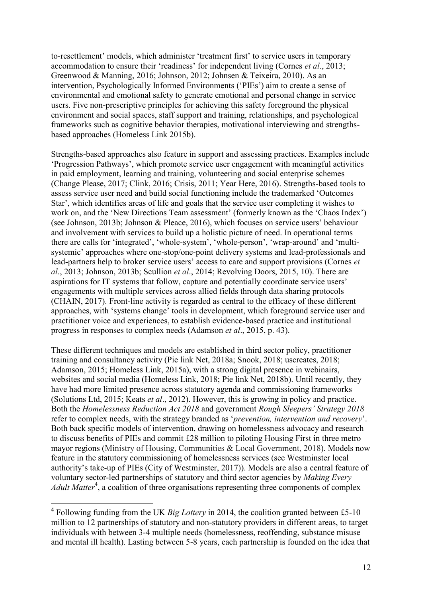to-resettlement' models, which administer 'treatment first' to service users in temporary accommodation to ensure their 'readiness' for independent living (Cornes *et al*., 2013; Greenwood & Manning, 2016; Johnson, 2012; Johnsen & Teixeira, 2010). As an intervention, Psychologically Informed Environments ('PIEs') aim to create a sense of environmental and emotional safety to generate emotional and personal change in service users. Five non-prescriptive principles for achieving this safety foreground the physical environment and social spaces, staff support and training, relationships, and psychological frameworks such as cognitive behavior therapies, motivational interviewing and strengthsbased approaches (Homeless Link 2015b).

Strengths-based approaches also feature in support and assessing practices. Examples include 'Progression Pathways', which promote service user engagement with meaningful activities in paid employment, learning and training, volunteering and social enterprise schemes (Change Please, 2017; Clink, 2016; Crisis, 2011; Year Here, 2016). Strengths-based tools to assess service user need and build social functioning include the trademarked 'Outcomes Star', which identifies areas of life and goals that the service user completing it wishes to work on, and the 'New Directions Team assessment' (formerly known as the 'Chaos Index') (see Johnson, 2013b; Johnson & Pleace, 2016), which focuses on service users' behaviour and involvement with services to build up a holistic picture of need. In operational terms there are calls for 'integrated', 'whole-system', 'whole-person', 'wrap-around' and 'multisystemic' approaches where one-stop/one-point delivery systems and lead-professionals and lead-partners help to broker service users' access to care and support provisions (Cornes *et al*., 2013; Johnson, 2013b; Scullion *et al*., 2014; Revolving Doors, 2015, 10). There are aspirations for IT systems that follow, capture and potentially coordinate service users' engagements with multiple services across allied fields through data sharing protocols (CHAIN, 2017). Front-line activity is regarded as central to the efficacy of these different approaches, with 'systems change' tools in development, which foreground service user and practitioner voice and experiences, to establish evidence-based practice and institutional progress in responses to complex needs (Adamson *et al*., 2015, p. 43).

These different techniques and models are established in third sector policy, practitioner training and consultancy activity (Pie link Net, 2018a; Snook, 2018; uscreates, 2018; Adamson, 2015; Homeless Link, 2015a), with a strong digital presence in webinairs, websites and social media (Homeless Link, 2018; Pie link Net, 2018b). Until recently, they have had more limited presence across statutory agenda and commissioning frameworks (Solutions Ltd, 2015; Keats *et al*., 2012). However, this is growing in policy and practice. Both the *Homelessness Reduction Act 2018* and government *Rough Sleepers' Strategy 2018* refer to complex needs, with the strategy branded as '*prevention, intervention and recovery*'. Both back specific models of intervention, drawing on homelessness advocacy and research to discuss benefits of PIEs and commit £28 million to piloting Housing First in three metro mayor regions (Ministry of Housing, Communities & Local Government, 2018). Models now feature in the statutory commissioning of homelessness services (see Westminster local authority's take-up of PIEs (City of Westminster, 2017)). Models are also a central feature of voluntary sector-led partnerships of statutory and third sector agencies by *Making Every*  Adult Matter<sup>4</sup>, a coalition of three organisations representing three components of complex

 $\overline{a}$ 

<sup>&</sup>lt;sup>4</sup> Following funding from the UK *Big Lottery* in 2014, the coalition granted between £5-10 million to 12 partnerships of statutory and non-statutory providers in different areas, to target individuals with between 3-4 multiple needs (homelessness, reoffending, substance misuse and mental ill health). Lasting between 5-8 years, each partnership is founded on the idea that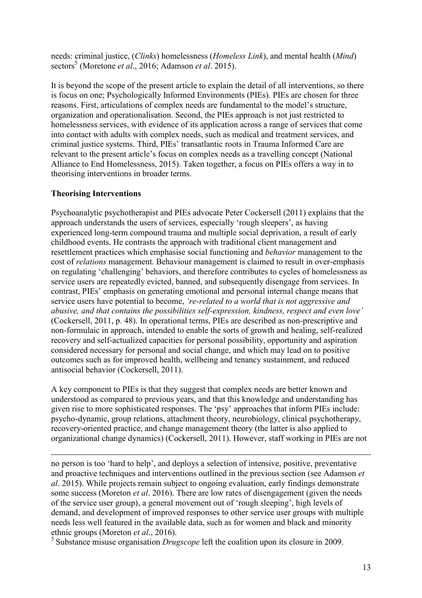needs: criminal justice, (*Clinks*) homelessness (*Homeless Link*), and mental health (*Mind*) sectors<sup>5</sup> (Moretone *et al.*, 2016; Adamson *et al.* 2015).

It is beyond the scope of the present article to explain the detail of all interventions, so there is focus on one; Psychologically Informed Environments (PIEs). PIEs are chosen for three reasons. First, articulations of complex needs are fundamental to the model's structure, organization and operationalisation. Second, the PIEs approach is not just restricted to homelessness services, with evidence of its application across a range of services that come into contact with adults with complex needs, such as medical and treatment services, and criminal justice systems. Third, PIEs' transatlantic roots in Trauma Informed Care are relevant to the present article's focus on complex needs as a travelling concept (National Alliance to End Homelessness, 2015). Taken together, a focus on PIEs offers a way in to theorising interventions in broader terms.

# **Theorising Interventions**

 $\overline{a}$ 

Psychoanalytic psychotherapist and PIEs advocate Peter Cockersell (2011) explains that the approach understands the users of services, especially 'rough sleepers', as having experienced long-term compound trauma and multiple social deprivation, a result of early childhood events. He contrasts the approach with traditional client management and resettlement practices which emphasise social functioning and *behavior* management to the cost of *relations* management. Behaviour management is claimed to result in over-emphasis on regulating 'challenging' behaviors, and therefore contributes to cycles of homelessness as service users are repeatedly evicted, banned, and subsequently disengage from services. In contrast, PIEs' emphasis on generating emotional and personal internal change means that service users have potential to become, *'re-related to a world that is not aggressive and abusive, and that contains the possibilities self-expression, kindness, respect and even love'* (Cockersell, 2011, p. 48). In operational terms, PIEs are described as non-prescriptive and non-formulaic in approach, intended to enable the sorts of growth and healing, self-realized recovery and self-actualized capacities for personal possibility, opportunity and aspiration considered necessary for personal and social change, and which may lead on to positive outcomes such as for improved health, wellbeing and tenancy sustainment, and reduced antisocial behavior (Cockersell, 2011).

A key component to PIEs is that they suggest that complex needs are better known and understood as compared to previous years, and that this knowledge and understanding has given rise to more sophisticated responses. The 'psy' approaches that inform PIEs include: psycho-dynamic, group relations, attachment theory, neurobiology, clinical psychotherapy, recovery-oriented practice, and change management theory (the latter is also applied to organizational change dynamics) (Cockersell, 2011). However, staff working in PIEs are not

no person is too 'hard to help', and deploys a selection of intensive, positive, preventative and proactive techniques and interventions outlined in the previous section (see Adamson *et al*. 2015). While projects remain subject to ongoing evaluation, early findings demonstrate some success (Moreton *et al*. 2016). There are low rates of disengagement (given the needs of the service user group), a general movement out of 'rough sleeping', high levels of demand, and development of improved responses to other service user groups with multiple needs less well featured in the available data, such as for women and black and minority ethnic groups (Moreton *et al*., 2016).

5 Substance misuse organisation *Drugscope* left the coalition upon its closure in 2009.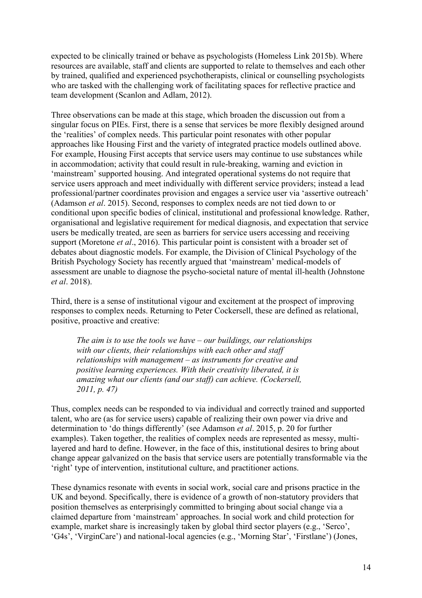expected to be clinically trained or behave as psychologists (Homeless Link 2015b). Where resources are available, staff and clients are supported to relate to themselves and each other by trained, qualified and experienced psychotherapists, clinical or counselling psychologists who are tasked with the challenging work of facilitating spaces for reflective practice and team development (Scanlon and Adlam, 2012).

Three observations can be made at this stage, which broaden the discussion out from a singular focus on PIEs. First, there is a sense that services be more flexibly designed around the 'realities' of complex needs. This particular point resonates with other popular approaches like Housing First and the variety of integrated practice models outlined above. For example, Housing First accepts that service users may continue to use substances while in accommodation; activity that could result in rule-breaking, warning and eviction in 'mainstream' supported housing. And integrated operational systems do not require that service users approach and meet individually with different service providers; instead a lead professional/partner coordinates provision and engages a service user via 'assertive outreach' (Adamson *et al*. 2015). Second, responses to complex needs are not tied down to or conditional upon specific bodies of clinical, institutional and professional knowledge. Rather, organisational and legislative requirement for medical diagnosis, and expectation that service users be medically treated, are seen as barriers for service users accessing and receiving support (Moretone *et al*., 2016). This particular point is consistent with a broader set of debates about diagnostic models. For example, the Division of Clinical Psychology of the British Psychology Society has recently argued that 'mainstream' medical-models of assessment are unable to diagnose the psycho-societal nature of mental ill-health (Johnstone *et al*. 2018).

Third, there is a sense of institutional vigour and excitement at the prospect of improving responses to complex needs. Returning to Peter Cockersell, these are defined as relational, positive, proactive and creative:

*The aim is to use the tools we have – our buildings, our relationships with our clients, their relationships with each other and staff relationships with management – as instruments for creative and positive learning experiences. With their creativity liberated, it is amazing what our clients (and our staff) can achieve. (Cockersell, 2011, p. 47)*

Thus, complex needs can be responded to via individual and correctly trained and supported talent, who are (as for service users) capable of realizing their own power via drive and determination to 'do things differently' (see Adamson *et al*. 2015, p. 20 for further examples). Taken together, the realities of complex needs are represented as messy, multilayered and hard to define. However, in the face of this, institutional desires to bring about change appear galvanized on the basis that service users are potentially transformable via the 'right' type of intervention, institutional culture, and practitioner actions.

These dynamics resonate with events in social work, social care and prisons practice in the UK and beyond. Specifically, there is evidence of a growth of non-statutory providers that position themselves as enterprisingly committed to bringing about social change via a claimed departure from 'mainstream' approaches. In social work and child protection for example, market share is increasingly taken by global third sector players (e.g., 'Serco', 'G4s', 'VirginCare') and national-local agencies (e.g., 'Morning Star', 'Firstlane') (Jones,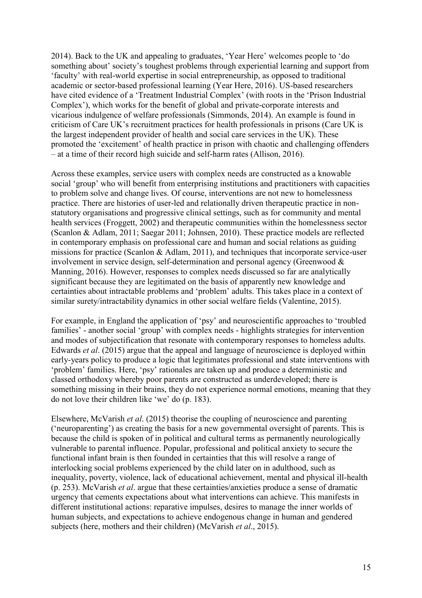2014). Back to the UK and appealing to graduates, 'Year Here' welcomes people to 'do something about' society's toughest problems through experiential learning and support from 'faculty' with real-world expertise in social entrepreneurship, as opposed to traditional academic or sector-based professional learning (Year Here, 2016). US-based researchers have cited evidence of a 'Treatment Industrial Complex' (with roots in the 'Prison Industrial Complex'), which works for the benefit of global and private-corporate interests and vicarious indulgence of welfare professionals (Simmonds, 2014). An example is found in criticism of Care UK's recruitment practices for health professionals in prisons (Care UK is the largest independent provider of health and social care services in the UK). These promoted the 'excitement' of health practice in prison with chaotic and challenging offenders – at a time of their record high suicide and self-harm rates (Allison, 2016).

Across these examples, service users with complex needs are constructed as a knowable social 'group' who will benefit from enterprising institutions and practitioners with capacities to problem solve and change lives. Of course, interventions are not new to homelessness practice. There are histories of user-led and relationally driven therapeutic practice in nonstatutory organisations and progressive clinical settings, such as for community and mental health services (Froggett, 2002) and therapeutic communities within the homelessness sector (Scanlon & Adlam, 2011; Saegar 2011; Johnsen, 2010). These practice models are reflected in contemporary emphasis on professional care and human and social relations as guiding missions for practice (Scanlon & Adlam, 2011), and techniques that incorporate service-user involvement in service design, self-determination and personal agency (Greenwood & Manning, 2016). However, responses to complex needs discussed so far are analytically significant because they are legitimated on the basis of apparently new knowledge and certainties about intractable problems and 'problem' adults. This takes place in a context of similar surety/intractability dynamics in other social welfare fields (Valentine, 2015).

For example, in England the application of 'psy' and neuroscientific approaches to 'troubled families' - another social 'group' with complex needs - highlights strategies for intervention and modes of subjectification that resonate with contemporary responses to homeless adults. Edwards *et al*. (2015) argue that the appeal and language of neuroscience is deployed within early-years policy to produce a logic that legitimates professional and state interventions with 'problem' families. Here, 'psy' rationales are taken up and produce a deterministic and classed orthodoxy whereby poor parents are constructed as underdeveloped; there is something missing in their brains, they do not experience normal emotions, meaning that they do not love their children like 'we' do (p. 183).

Elsewhere, McVarish *et al*. (2015) theorise the coupling of neuroscience and parenting ('neuroparenting') as creating the basis for a new governmental oversight of parents. This is because the child is spoken of in political and cultural terms as permanently neurologically vulnerable to parental influence. Popular, professional and political anxiety to secure the functional infant brain is then founded in certainties that this will resolve a range of interlocking social problems experienced by the child later on in adulthood, such as inequality, poverty, violence, lack of educational achievement, mental and physical ill-health (p. 253). McVarish *et al*. argue that these certainties/anxieties produce a sense of dramatic urgency that cements expectations about what interventions can achieve. This manifests in different institutional actions: reparative impulses, desires to manage the inner worlds of human subjects, and expectations to achieve endogenous change in human and gendered subjects (here, mothers and their children) (McVarish *et al*., 2015).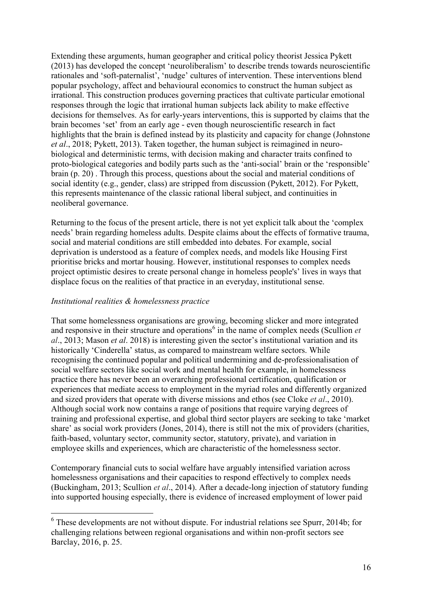Extending these arguments, human geographer and critical policy theorist Jessica Pykett (2013) has developed the concept 'neuroliberalism' to describe trends towards neuroscientific rationales and 'soft-paternalist', 'nudge' cultures of intervention. These interventions blend popular psychology, affect and behavioural economics to construct the human subject as irrational. This construction produces governing practices that cultivate particular emotional responses through the logic that irrational human subjects lack ability to make effective decisions for themselves. As for early-years interventions, this is supported by claims that the brain becomes 'set' from an early age - even though neuroscientific research in fact highlights that the brain is defined instead by its plasticity and capacity for change (Johnstone *et al*., 2018; Pykett, 2013). Taken together, the human subject is reimagined in neurobiological and deterministic terms, with decision making and character traits confined to proto-biological categories and bodily parts such as the 'anti-social' brain or the 'responsible' brain (p. 20) . Through this process, questions about the social and material conditions of social identity (e.g., gender, class) are stripped from discussion (Pykett, 2012). For Pykett, this represents maintenance of the classic rational liberal subject, and continuities in neoliberal governance.

Returning to the focus of the present article, there is not yet explicit talk about the 'complex needs' brain regarding homeless adults. Despite claims about the effects of formative trauma, social and material conditions are still embedded into debates. For example, social deprivation is understood as a feature of complex needs, and models like Housing First prioritise bricks and mortar housing. However, institutional responses to complex needs project optimistic desires to create personal change in homeless people's' lives in ways that displace focus on the realities of that practice in an everyday, institutional sense.

## *Institutional realities & homelessness practice*

That some homelessness organisations are growing, becoming slicker and more integrated and responsive in their structure and operations<sup>6</sup> in the name of complex needs (Scullion *et al*., 2013; Mason *et al*. 2018) is interesting given the sector's institutional variation and its historically 'Cinderella' status, as compared to mainstream welfare sectors. While recognising the continued popular and political undermining and de-professionalisation of social welfare sectors like social work and mental health for example, in homelessness practice there has never been an overarching professional certification, qualification or experiences that mediate access to employment in the myriad roles and differently organized and sized providers that operate with diverse missions and ethos (see Cloke *et al*., 2010). Although social work now contains a range of positions that require varying degrees of training and professional expertise, and global third sector players are seeking to take 'market share' as social work providers (Jones, 2014), there is still not the mix of providers (charities, faith-based, voluntary sector, community sector, statutory, private), and variation in employee skills and experiences, which are characteristic of the homelessness sector.

Contemporary financial cuts to social welfare have arguably intensified variation across homelessness organisations and their capacities to respond effectively to complex needs (Buckingham, 2013; Scullion *et al*., 2014). After a decade-long injection of statutory funding into supported housing especially, there is evidence of increased employment of lower paid

<sup>&</sup>lt;sup>6</sup> These developments are not without dispute. For industrial relations see Spurr, 2014b; for challenging relations between regional organisations and within non-profit sectors see Barclay, 2016, p. 25.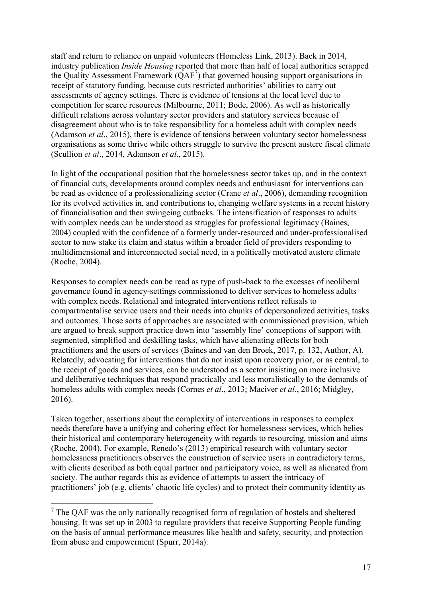staff and return to reliance on unpaid volunteers (Homeless Link, 2013). Back in 2014, industry publication *Inside Housing* reported that more than half of local authorities scrapped the Quality Assessment Framework  $(QAF<sup>7</sup>)$  that governed housing support organisations in receipt of statutory funding, because cuts restricted authorities' abilities to carry out assessments of agency settings. There is evidence of tensions at the local level due to competition for scarce resources (Milbourne, 2011; Bode, 2006). As well as historically difficult relations across voluntary sector providers and statutory services because of disagreement about who is to take responsibility for a homeless adult with complex needs (Adamson *et al*., 2015), there is evidence of tensions between voluntary sector homelessness organisations as some thrive while others struggle to survive the present austere fiscal climate (Scullion *et al*., 2014, Adamson *et al*., 2015).

In light of the occupational position that the homelessness sector takes up, and in the context of financial cuts, developments around complex needs and enthusiasm for interventions can be read as evidence of a professionalizing sector (Crane *et al*., 2006), demanding recognition for its evolved activities in, and contributions to, changing welfare systems in a recent history of financialisation and then swingeing cutbacks. The intensification of responses to adults with complex needs can be understood as struggles for professional legitimacy (Baines, 2004) coupled with the confidence of a formerly under-resourced and under-professionalised sector to now stake its claim and status within a broader field of providers responding to multidimensional and interconnected social need, in a politically motivated austere climate (Roche, 2004).

Responses to complex needs can be read as type of push-back to the excesses of neoliberal governance found in agency-settings commissioned to deliver services to homeless adults with complex needs. Relational and integrated interventions reflect refusals to compartmentalise service users and their needs into chunks of depersonalized activities, tasks and outcomes. Those sorts of approaches are associated with commissioned provision, which are argued to break support practice down into 'assembly line' conceptions of support with segmented, simplified and deskilling tasks, which have alienating effects for both practitioners and the users of services (Baines and van den Broek, 2017, p. 132, Author, A). Relatedly, advocating for interventions that do not insist upon recovery prior, or as central, to the receipt of goods and services, can be understood as a sector insisting on more inclusive and deliberative techniques that respond practically and less moralistically to the demands of homeless adults with complex needs (Cornes *et al*., 2013; Maciver *et al*., 2016; Midgley, 2016).

Taken together, assertions about the complexity of interventions in responses to complex needs therefore have a unifying and cohering effect for homelessness services, which belies their historical and contemporary heterogeneity with regards to resourcing, mission and aims (Roche, 2004). For example, Renedo's (2013) empirical research with voluntary sector homelessness practitioners observes the construction of service users in contradictory terms, with clients described as both equal partner and participatory voice, as well as alienated from society. The author regards this as evidence of attempts to assert the intricacy of practitioners' job (e.g. clients' chaotic life cycles) and to protect their community identity as

 $\overline{a}$ 

 $7$  The QAF was the only nationally recognised form of regulation of hostels and sheltered housing. It was set up in 2003 to regulate providers that receive Supporting People funding on the basis of annual performance measures like health and safety, security, and protection from abuse and empowerment (Spurr, 2014a).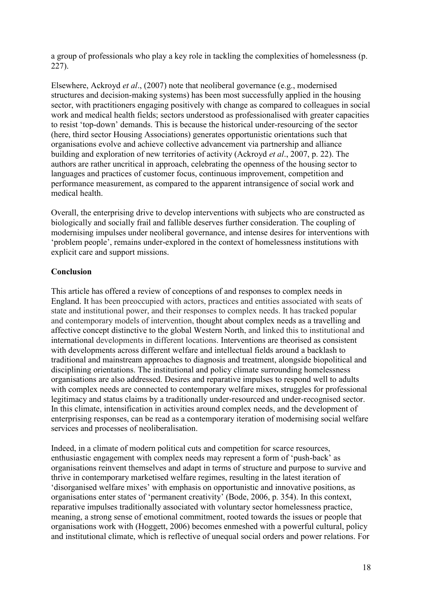a group of professionals who play a key role in tackling the complexities of homelessness (p. 227).

Elsewhere, Ackroyd *et al*., (2007) note that neoliberal governance (e.g., modernised structures and decision-making systems) has been most successfully applied in the housing sector, with practitioners engaging positively with change as compared to colleagues in social work and medical health fields; sectors understood as professionalised with greater capacities to resist 'top-down' demands. This is because the historical under-resourcing of the sector (here, third sector Housing Associations) generates opportunistic orientations such that organisations evolve and achieve collective advancement via partnership and alliance building and exploration of new territories of activity (Ackroyd *et al*., 2007, p. 22). The authors are rather uncritical in approach, celebrating the openness of the housing sector to languages and practices of customer focus, continuous improvement, competition and performance measurement, as compared to the apparent intransigence of social work and medical health.

Overall, the enterprising drive to develop interventions with subjects who are constructed as biologically and socially frail and fallible deserves further consideration. The coupling of modernising impulses under neoliberal governance, and intense desires for interventions with 'problem people', remains under-explored in the context of homelessness institutions with explicit care and support missions.

# **Conclusion**

This article has offered a review of conceptions of and responses to complex needs in England. It has been preoccupied with actors, practices and entities associated with seats of state and institutional power, and their responses to complex needs. It has tracked popular and contemporary models of intervention, thought about complex needs as a travelling and affective concept distinctive to the global Western North, and linked this to institutional and international developments in different locations. Interventions are theorised as consistent with developments across different welfare and intellectual fields around a backlash to traditional and mainstream approaches to diagnosis and treatment, alongside biopolitical and disciplining orientations. The institutional and policy climate surrounding homelessness organisations are also addressed. Desires and reparative impulses to respond well to adults with complex needs are connected to contemporary welfare mixes, struggles for professional legitimacy and status claims by a traditionally under-resourced and under-recognised sector. In this climate, intensification in activities around complex needs, and the development of enterprising responses, can be read as a contemporary iteration of modernising social welfare services and processes of neoliberalisation.

Indeed, in a climate of modern political cuts and competition for scarce resources, enthusiastic engagement with complex needs may represent a form of 'push-back' as organisations reinvent themselves and adapt in terms of structure and purpose to survive and thrive in contemporary marketised welfare regimes, resulting in the latest iteration of 'disorganised welfare mixes' with emphasis on opportunistic and innovative positions, as organisations enter states of 'permanent creativity' (Bode, 2006, p. 354). In this context, reparative impulses traditionally associated with voluntary sector homelessness practice, meaning, a strong sense of emotional commitment, rooted towards the issues or people that organisations work with (Hoggett, 2006) becomes enmeshed with a powerful cultural, policy and institutional climate, which is reflective of unequal social orders and power relations. For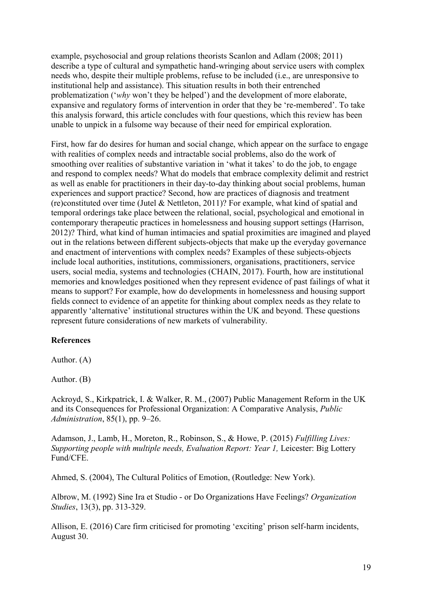example, psychosocial and group relations theorists Scanlon and Adlam (2008; 2011) describe a type of cultural and sympathetic hand-wringing about service users with complex needs who, despite their multiple problems, refuse to be included (i.e., are unresponsive to institutional help and assistance). This situation results in both their entrenched problematization ('*why* won't they be helped') and the development of more elaborate, expansive and regulatory forms of intervention in order that they be 're-membered'. To take this analysis forward, this article concludes with four questions, which this review has been unable to unpick in a fulsome way because of their need for empirical exploration.

First, how far do desires for human and social change, which appear on the surface to engage with realities of complex needs and intractable social problems, also do the work of smoothing over realities of substantive variation in 'what it takes' to do the job, to engage and respond to complex needs? What do models that embrace complexity delimit and restrict as well as enable for practitioners in their day-to-day thinking about social problems, human experiences and support practice? Second, how are practices of diagnosis and treatment (re)constituted over time (Jutel & Nettleton, 2011)? For example, what kind of spatial and temporal orderings take place between the relational, social, psychological and emotional in contemporary therapeutic practices in homelessness and housing support settings (Harrison, 2012)? Third, what kind of human intimacies and spatial proximities are imagined and played out in the relations between different subjects-objects that make up the everyday governance and enactment of interventions with complex needs? Examples of these subjects-objects include local authorities, institutions, commissioners, organisations, practitioners, service users, social media, systems and technologies (CHAIN, 2017). Fourth, how are institutional memories and knowledges positioned when they represent evidence of past failings of what it means to support? For example, how do developments in homelessness and housing support fields connect to evidence of an appetite for thinking about complex needs as they relate to apparently 'alternative' institutional structures within the UK and beyond. These questions represent future considerations of new markets of vulnerability.

#### **References**

Author. (A)

Author. (B)

Ackroyd, S., Kirkpatrick, I. & Walker, R. M., (2007) Public Management Reform in the UK and its Consequences for Professional Organization: A Comparative Analysis, *Public Administration*, 85(1), pp. 9–26.

Adamson, J., Lamb, H., Moreton, R., Robinson, S., & Howe, P. (2015) *Fulfilling Lives: Supporting people with multiple needs, Evaluation Report: Year 1,* Leicester: Big Lottery Fund/CFE.

Ahmed, S. (2004), The Cultural Politics of Emotion, (Routledge: New York).

Albrow, M. (1992) Sine Ira et Studio - or Do Organizations Have Feelings? *Organization Studies*, 13(3), pp. 313-329.

Allison, E. (2016) Care firm criticised for promoting 'exciting' prison self-harm incidents, August 30.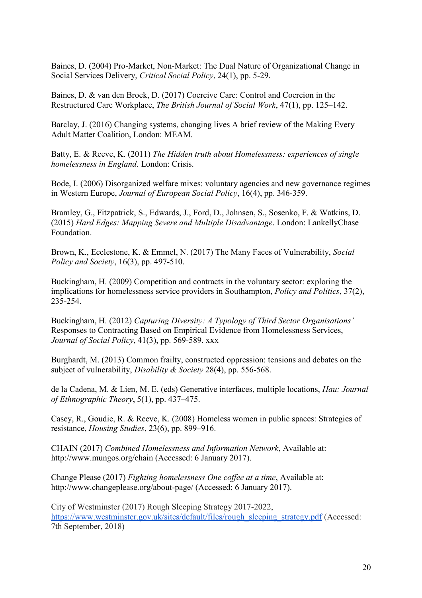Baines, D. (2004) Pro-Market, Non-Market: The Dual Nature of Organizational Change in Social Services Delivery, *Critical Social Policy*, 24(1), pp. 5-29.

Baines, D. & van den Broek, D. (2017) Coercive Care: Control and Coercion in the Restructured Care Workplace, *The British Journal of Social Work*, 47(1), pp. 125–142.

Barclay, J. (2016) Changing systems, changing lives A brief review of the Making Every Adult Matter Coalition, London: MEAM.

Batty, E. & Reeve, K. (2011) *[The Hidden truth about Homelessness: experiences of single](http://www.shu.ac.uk/research/cresr/sites/shu.ac.uk/files/hidden-truth-homelessness.pdf)  [homelessness in England.](http://www.shu.ac.uk/research/cresr/sites/shu.ac.uk/files/hidden-truth-homelessness.pdf)* London: Crisis.

Bode, I. (2006) Disorganized welfare mixes: voluntary agencies and new governance regimes in Western Europe, *Journal of European Social Policy*, 16(4), pp. 346-359.

Bramley, G., Fitzpatrick, S., Edwards, J., Ford, D., Johnsen, S., Sosenko, F. & Watkins, D. (2015) *Hard Edges: Mapping Severe and Multiple Disadvantage*. London: LankellyChase Foundation.

Brown, K., Ecclestone, K. & Emmel, N. (2017) The Many Faces of Vulnerability, *Social Policy and Society*, 16(3), pp. 497-510.

Buckingham, H. (2009) Competition and contracts in the voluntary sector: exploring the implications for homelessness service providers in Southampton, *Policy and Politics*, 37(2), 235-254.

Buckingham, H. (2012) *Capturing Diversity: A Typology of Third Sector Organisations'*  Responses to Contracting Based on Empirical Evidence from Homelessness Services, *Journal of Social Policy*, 41(3), pp. 569-589. xxx

Burghardt, M. (2013) Common frailty, constructed oppression: tensions and debates on the subject of vulnerability, *Disability & Society* 28(4), pp. 556-568.

de la Cadena, M. & Lien, M. E. (eds) Generative interfaces, multiple locations, *Hau: Journal of Ethnographic Theory*, 5(1), pp. 437–475.

Casey, R., Goudie, R. & Reeve, K. (2008) Homeless women in public spaces: Strategies of resistance, *Housing Studies*, 23(6), pp. 899–916.

CHAIN (2017) *Combined Homelessness and Information Network*, Available at: http://www.mungos.org/chain (Accessed: 6 January 2017).

Change Please (2017) *Fighting homelessness One coffee at a time*, Available at: http://www.changeplease.org/about-page/ (Accessed: 6 January 2017).

City of Westminster (2017) Rough Sleeping Strategy 2017-2022, [https://www.westminster.gov.uk/sites/default/files/rough\\_sleeping\\_strategy.pdf](https://www.westminster.gov.uk/sites/default/files/rough_sleeping_strategy.pdf) (Accessed: 7th September, 2018)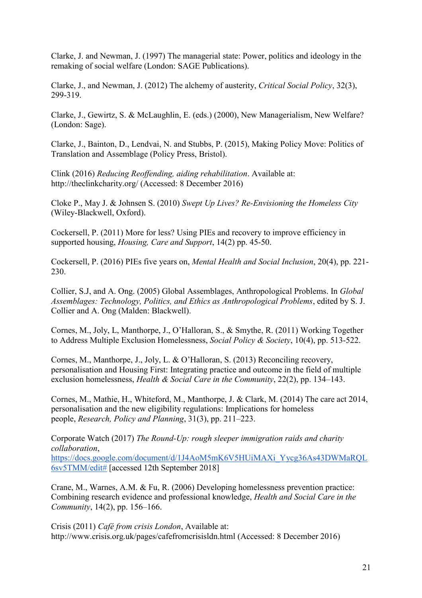Clarke, J. and Newman, J. (1997) The managerial state: Power, politics and ideology in the remaking of social welfare (London: SAGE Publications).

Clarke, J., and Newman, J. (2012) The alchemy of austerity, *Critical Social Policy*, 32(3), 299-319.

Clarke, J., Gewirtz, S. & McLaughlin, E. (eds.) (2000), New Managerialism, New Welfare? (London: Sage).

Clarke, J., Bainton, D., Lendvai, N. and Stubbs, P. (2015), Making Policy Move: Politics of Translation and Assemblage (Policy Press, Bristol).

Clink (2016) *Reducing Reoffending, aiding rehabilitation*. Available at: http://theclinkcharity.org/ (Accessed: 8 December 2016)

Cloke P., May J. & Johnsen S. (2010) *Swept Up Lives? Re-Envisioning the Homeless City* (Wiley-Blackwell, Oxford).

Cockersell, P. (2011) More for less? Using PIEs and recovery to improve efficiency in supported housing, *Housing, Care and Support*, 14(2) pp. 45-50.

Cockersell, P. (2016) PIEs five years on, *Mental Health and Social Inclusion*, 20(4), pp. 221- 230.

Collier, S.J, and A. Ong. (2005) Global Assemblages, Anthropological Problems. In *Global Assemblages: Technology, Politics, and Ethics as Anthropological Problems*, edited by S. J. Collier and A. Ong (Malden: Blackwell).

Cornes, M., Joly, L, Manthorpe, J., O'Halloran, S., & Smythe, R. (2011) Working Together to Address Multiple Exclusion Homelessness, *Social Policy & Society*, 10(4), pp. 513-522.

Cornes, M., Manthorpe, J., Joly, L. & O'Halloran, S. (2013) Reconciling recovery, personalisation and Housing First: Integrating practice and outcome in the field of multiple exclusion homelessness, *Health & Social Care in the Community*, 22(2), pp. 134–143.

Cornes, M., Mathie, H., Whiteford, M., Manthorpe, J. & Clark, M. (2014) The care act 2014, personalisation and the new eligibility regulations: Implications for homeless people, *Research, Policy and Planning*, 31(3), pp. 211–223.

Corporate Watch (2017) *The Round-Up: rough sleeper immigration raids and charity collaboration*, [https://docs.google.com/document/d/1J4AoM5mK6V5HUiMAXi\\_Yycg36As43DWMaRQL](https://docs.google.com/document/d/1J4AoM5mK6V5HUiMAXi_Yycg36As43DWMaRQL6sv5TMM/edit) [6sv5TMM/edit#](https://docs.google.com/document/d/1J4AoM5mK6V5HUiMAXi_Yycg36As43DWMaRQL6sv5TMM/edit) [accessed 12th September 2018]

Crane, M., Warnes, A.M. & Fu, R. (2006) Developing homelessness prevention practice: Combining research evidence and professional knowledge, *Health and Social Care in the Community*, 14(2), pp. 156–166.

Crisis (2011) *Café from crisis London*, Available at: http://www.crisis.org.uk/pages/cafefromcrisisldn.html (Accessed: 8 December 2016)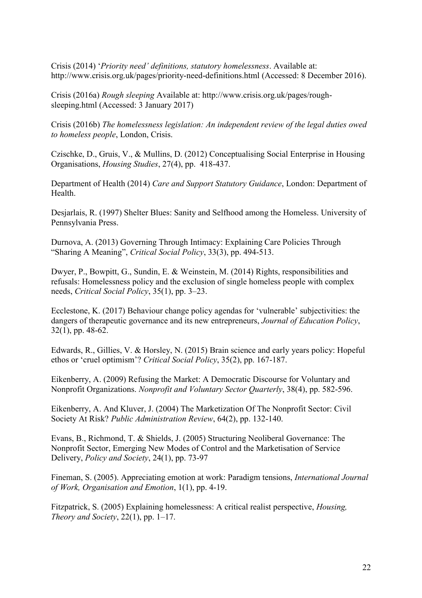Crisis (2014) '*Priority need' definitions, statutory homelessness*. Available at: http://www.crisis.org.uk/pages/priority-need-definitions.html (Accessed: 8 December 2016).

Crisis (2016a) *Rough sleeping* Available at: http://www.crisis.org.uk/pages/roughsleeping.html (Accessed: 3 January 2017)

Crisis (2016b) *The homelessness legislation: An independent review of the legal duties owed to homeless people*, London, Crisis.

Czischke, D., Gruis, V., & Mullins, D. (2012) Conceptualising Social Enterprise in Housing Organisations, *Housing Studies*, 27(4), pp. 418-437.

Department of Health (2014) *Care and Support Statutory Guidance*, London: Department of Health.

Desjarlais, R. (1997) Shelter Blues: Sanity and Selfhood among the Homeless. University of Pennsylvania Press.

Durnova, A. (2013) Governing Through Intimacy: Explaining Care Policies Through "Sharing A Meaning", *Critical Social Policy*, 33(3), pp. 494-513.

Dwyer, P., Bowpitt, G., Sundin, E. & Weinstein, M. (2014) Rights, responsibilities and refusals: Homelessness policy and the exclusion of single homeless people with complex needs, *Critical Social Policy*, 35(1), pp. 3–23.

Ecclestone, K. (2017) Behaviour change policy agendas for 'vulnerable' subjectivities: the dangers of therapeutic governance and its new entrepreneurs, *Journal of Education Policy*, 32(1), pp. 48-62.

Edwards, R., Gillies, V. & Horsley, N. (2015) Brain science and early years policy: Hopeful ethos or 'cruel optimism'? *Critical Social Policy*, 35(2), pp. 167-187.

Eikenberry, A. (2009) Refusing the Market: A Democratic Discourse for Voluntary and Nonprofit Organizations. *Nonprofit and Voluntary Sector Quarterly*, 38(4), pp. 582-596.

Eikenberry, A. And Kluver, J. (2004) The Marketization Of The Nonprofit Sector: Civil Society At Risk? *Public Administration Review*, 64(2), pp. 132-140.

Evans, B., Richmond, T. & Shields, J. (2005) Structuring Neoliberal Governance: The Nonprofit Sector, Emerging New Modes of Control and the Marketisation of Service Delivery, *Policy and Society*, 24(1), pp. 73-97

Fineman, S. (2005). Appreciating emotion at work: Paradigm tensions, *International Journal of Work, Organisation and Emotion*, 1(1), pp. 4-19.

Fitzpatrick, S. (2005) Explaining homelessness: A critical realist perspective, *Housing, Theory and Society*, 22(1), pp. 1–17.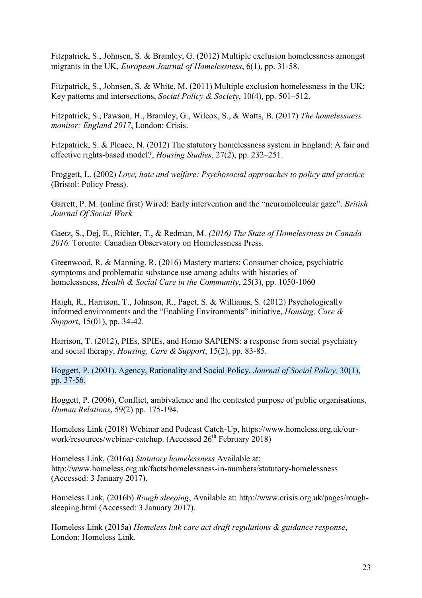Fitzpatrick, S., Johnsen, S. & Bramley, G. (2012) Multiple exclusion homelessness amongst migrants in the UK, *European Journal of Homelessness*, 6(1), pp. 31-58.

Fitzpatrick, S., Johnsen, S. & White, M. (2011) Multiple exclusion homelessness in the UK: Key patterns and intersections, *Social Policy & Society*, 10(4), pp. 501–512.

Fitzpatrick, S., Pawson, H., Bramley, G., Wilcox, S., & Watts, B. (2017) *The homelessness monitor: England 2017*, London: Crisis.

Fitzpatrick, S. & Pleace, N. (2012) The statutory homelessness system in England: A fair and effective rights-based model?, *Housing Studies*, 27(2), pp. 232–251.

Froggett, L. (2002) *Love, hate and welfare: Psychosocial approaches to policy and practice* (Bristol: Policy Press).

Garrett, P. M. (online first) Wired: Early intervention and the "neuromolecular gaze". *British Journal Of Social Work*

Gaetz, S., Dej, E., Richter, T., & Redman, M. *(2016) The State of Homelessness in Canada 2016.* Toronto: Canadian Observatory on Homelessness Press.

Greenwood, R. & Manning, R. (2016) Mastery matters: Consumer choice, psychiatric symptoms and problematic substance use among adults with histories of homelessness, *Health & Social Care in the Community*, 25(3), pp. 1050-1060

Haigh, R., Harrison, T., Johnson, R., Paget, S. & Williams, S. (2012) Psychologically informed environments and the "Enabling Environments" initiative, *Housing, Care & Support*, 15(01), pp. 34-42.

Harrison, T. (2012), PIEs, SPIEs, and Homo SAPIENS: a response from social psychiatry and social therapy, *Housing, Care & Support*, 15(2), pp. 83-85.

Hoggett, P. (2001). Agency, Rationality and Social Policy. *Journal of Social Policy,* 30(1), pp. 37-56.

Hoggett, P. (2006), Conflict, ambivalence and the contested purpose of public organisations, *Human Relations*, 59(2) pp. 175-194.

Homeless Link (2018) Webinar and Podcast Catch-Up, https://www.homeless.org.uk/ourwork/resources/webinar-catchup. (Accessed  $26<sup>th</sup>$  February 2018)

Homeless Link, (2016a) *Statutory homelessness* Available at: http://www.homeless.org.uk/facts/homelessness-in-numbers/statutory-homelessness (Accessed: 3 January 2017).

Homeless Link, (2016b) *Rough sleeping*, Available at: http://www.crisis.org.uk/pages/roughsleeping.html (Accessed: 3 January 2017).

Homeless Link (2015a) *Homeless link care act draft regulations & guidance response*, London: Homeless Link.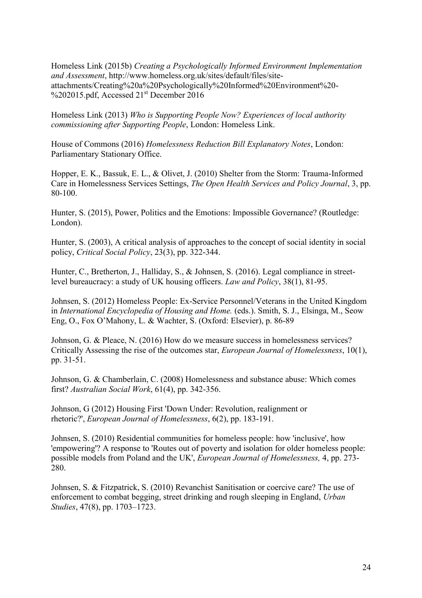Homeless Link (2015b) *Creating a Psychologically Informed Environment Implementation and Assessment*, [http://www.homeless.org.uk/sites/default/files/site](http://www.homeless.org.uk/sites/default/files/site-attachments/Creating%20a%20Psychologically%20Informed%20Environment%20-%202015.pdf)[attachments/Creating%20a%20Psychologically%20Informed%20Environment%20-](http://www.homeless.org.uk/sites/default/files/site-attachments/Creating%20a%20Psychologically%20Informed%20Environment%20-%202015.pdf) [%202015.pdf,](http://www.homeless.org.uk/sites/default/files/site-attachments/Creating%20a%20Psychologically%20Informed%20Environment%20-%202015.pdf) Accessed 21<sup>st</sup> December 2016

Homeless Link (2013) *Who is Supporting People Now? Experiences of local authority commissioning after Supporting People*, London: Homeless Link.

House of Commons (2016) *Homelessness Reduction Bill Explanatory Notes*, London: Parliamentary Stationary Office.

Hopper, E. K., Bassuk, E. L., & Olivet, J. (2010) Shelter from the Storm: Trauma-Informed Care in Homelessness Services Settings, *The Open Health Services and Policy Journal*, 3, pp. 80-100.

Hunter, S. (2015), Power, Politics and the Emotions: Impossible Governance? (Routledge: London).

Hunter, S. (2003), A critical analysis of approaches to the concept of social identity in social policy, *Critical Social Policy*, 23(3), pp. 322-344.

Hunter, C., Bretherton, J., Halliday, S., & Johnsen, S. (2016). Legal compliance in streetlevel bureaucracy: a study of UK housing officers. *Law and Policy*, 38(1), 81-95.

Johnsen, S. (2012) Homeless People: Ex-Service Personnel/Veterans in the United Kingdom in *International Encyclopedia of Housing and Home.* (eds.). Smith, S. J., Elsinga, M., Seow Eng, O., Fox O'Mahony, L. & Wachter, S. (Oxford: Elsevier), p. 86-89

Johnson, G. & Pleace, N. (2016) How do we measure success in homelessness services? Critically Assessing the rise of the outcomes star, *European Journal of Homelessness*, 10(1), pp. 31-51.

[Johnson, G.](http://researchbank.rmit.edu.au/list/author_id/1287276/) & [Chamberlain, C.](http://researchbank.rmit.edu.au/list/author_id/1255160/) (2008) Homelessness and substance abuse: Which comes first? *Australian Social Work*, 61(4), pp. 342-356.

Johnson, G (2012) Housing First 'Down Under: Revolution, realignment or rhetoric?', *European Journal of Homelessness*, 6(2), pp. 183-191.

[Johnsen, S.](https://pureapps2.hw.ac.uk/portal/en/persons/sarah-johnsen(9ec7d48f-283f-4940-90cf-b5efdd09b585).html) (2010) Residential communities for homeless people: how 'inclusive', how 'empowering'? A response to 'Routes out of poverty and isolation for older homeless people: possible models from Poland and the UK', *[European Journal of Homelessness,](https://pureapps2.hw.ac.uk/portal/en/journals/european-journal-of-homelessness(61be53f8-9140-4317-aad3-b77bb3c4c683).html)* 4, pp. 273- 280.

Johnsen, S. & Fitzpatrick, S. (2010) Revanchist Sanitisation or coercive care? The use of enforcement to combat begging, street drinking and rough sleeping in England, *Urban Studies*, 47(8), pp. 1703–1723.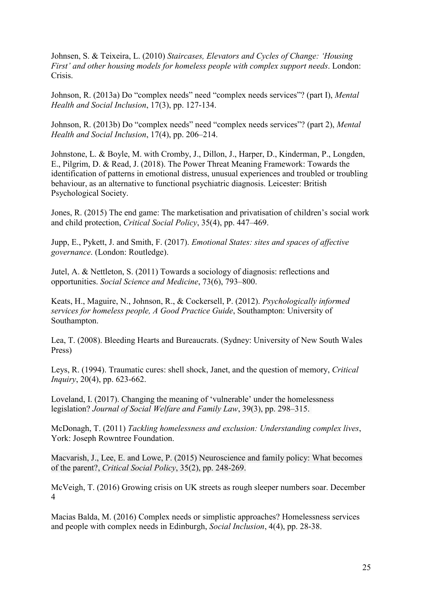Johnsen, S. & Teixeira, L. (2010) *Staircases, Elevators and Cycles of Change: 'Housing First' and other housing models for homeless people with complex support needs*. London: Crisis.

Johnson, R. (2013a) Do "complex needs" need "complex needs services"? (part I), *Mental Health and Social Inclusion*, 17(3), pp. 127-134.

Johnson, R. (2013b) Do "complex needs" need "complex needs services"? (part 2), *Mental Health and Social Inclusion*, 17(4), pp. 206–214.

Johnstone, L. & Boyle, M. with Cromby, J., Dillon, J., Harper, D., Kinderman, P., Longden, E., Pilgrim, D. & Read, J. (2018). The Power Threat Meaning Framework: Towards the identification of patterns in emotional distress, unusual experiences and troubled or troubling behaviour, as an alternative to functional psychiatric diagnosis. Leicester: British Psychological Society.

Jones, R. (2015) The end game: The marketisation and privatisation of children's social work and child protection, *Critical Social Policy*, 35(4), pp. 447–469.

Jupp, E., Pykett, J. and Smith, F. (2017). *Emotional States: sites and spaces of affective governance*. (London: Routledge).

Jutel, A. & Nettleton, S. (2011) Towards a sociology of diagnosis: reflections and opportunities. *Social Science and Medicine*, 73(6), 793–800.

Keats, H., Maguire, N., Johnson, R., & Cockersell, P. (2012). *Psychologically informed services for homeless people, A Good Practice Guide*, Southampton: University of Southampton.

Lea, T. (2008). Bleeding Hearts and Bureaucrats. (Sydney: University of New South Wales Press)

Leys, R. (1994). Traumatic cures: shell shock, Janet, and the question of memory, *Critical Inquiry*, 20(4), pp. 623-662.

Loveland, I. (2017). Changing the meaning of 'vulnerable' under the homelessness legislation? *Journal of Social Welfare and Family Law*, 39(3), pp. 298–315.

McDonagh, T. (2011) *Tackling homelessness and exclusion: Understanding complex lives*, York: Joseph Rowntree Foundation.

Macvarish, J., Lee, E. and Lowe, P. (2015) Neuroscience and family policy: What becomes of the parent?, *Critical Social Policy*, 35(2), pp. 248-269.

McVeigh, T. (2016) Growing crisis on UK streets as rough sleeper numbers soar. December 4

Macias Balda, M. (2016) Complex needs or simplistic approaches? Homelessness services and people with complex needs in Edinburgh, *Social Inclusion*, 4(4), pp. 28-38.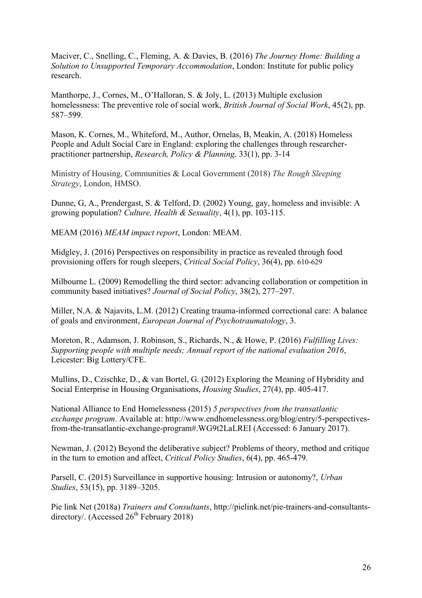Maciver, C., Snelling, C., Fleming, A. & Davies, B. (2016) *The Journey Home: Building a Solution to Unsupported Temporary Accommodation*, London: Institute for public policy research.

Manthorpe, J., Cornes, M., O'Halloran, S. & Joly, L. (2013) Multiple exclusion homelessness: The preventive role of social work, *British Journal of Social Work*, 45(2), pp. 587–599.

Mason, K. Cornes, M., Whiteford, M., Author, Ornelas, B, Meakin, A. (2018) Homeless People and Adult Social Care in England: exploring the challenges through researcherpractitioner partnership, *Research, Policy & Planning,* 33(1), pp. 3-14

Ministry of Housing, Communities & Local Government (2018) *The Rough Sleeping Strategy*, London, HMSO.

Dunne, G, A., Prendergast, S. & Telford, D. (2002) Young, gay, homeless and invisible: A growing population? *Culture, Health & Sexuality*, 4(1), pp. 103-115.

MEAM (2016) *MEAM impact report*, London: MEAM.

Midgley, J. (2016) Perspectives on responsibility in practice as revealed through food provisioning offers for rough sleepers, *Critical Social Policy*, 36(4), pp. 610-629

Milbourne L. (2009) Remodelling the third sector: advancing collaboration or competition in community based initiatives? *Journal of Social Policy*, 38(2), 277–297.

Miller, N.A. & Najavits, L.M. (2012) Creating trauma-informed correctional care: A balance of goals and environment, *European Journal of Psychotraumatology*, 3.

Moreton, R., Adamson, J. Robinson, S., Richards, N., & Howe, P. (2016) *Fulfilling Lives: Supporting people with multiple needs; Annual report of the national evaluation 2016*, Leicester: Big Lottery/CFE.

Mullins, D., Czischke, D., & van Bortel, G. (2012) Exploring the Meaning of Hybridity and Social Enterprise in Housing Organisations, *Housing Studies*, 27(4), pp. 405-417.

National Alliance to End Homelessness (2015) *5 perspectives from the transatlantic exchange program*. Available at: http://www.endhomelessness.org/blog/entry/5-perspectivesfrom-the-transatlantic-exchange-program#.WG9t2LaLREI (Accessed: 6 January 2017).

Newman, J. (2012) Beyond the deliberative subject? Problems of theory, method and critique in the turn to emotion and affect, *Critical Policy Studies*, 6(4), pp. 465-479.

Parsell, C. (2015) Surveillance in supportive housing: Intrusion or autonomy?, *Urban Studies*, 53(15), pp. 3189–3205.

Pie link Net (2018a) *Trainers and Consultants*, http://pielink.net/pie-trainers-and-consultantsdirectory/. (Accessed  $26<sup>th</sup>$  February 2018)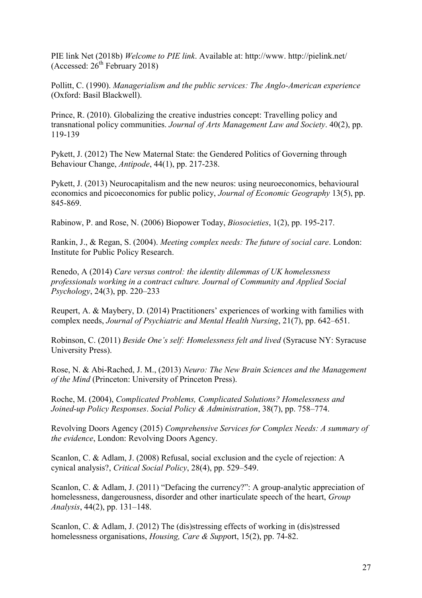PIE link Net (2018b) *Welcome to PIE link*. Available at: http://www. http://pielink.net/ (Accessed:  $26<sup>th</sup>$  February 2018)

Pollitt, C. (1990). *Managerialism and the public services: The Anglo-American experience* (Oxford: Basil Blackwell).

Prince, R. (2010). Globalizing the creative industries concept: Travelling policy and transnational policy communities. *Journal of Arts Management Law and Society*. 40(2), pp. 119-139

Pykett, J. (2012) The New Maternal State: the Gendered Politics of Governing through Behaviour Change, *Antipode*, 44(1), pp. 217-238.

Pykett, J. (2013) Neurocapitalism and the new neuros: using neuroeconomics, behavioural economics and picoeconomics for public policy, *Journal of Economic Geography* 13(5), pp. 845-869.

Rabinow, P. and Rose, N. (2006) Biopower Today, *Biosocieties*, 1(2), pp. 195-217.

Rankin, J., & Regan, S. (2004). *Meeting complex needs: The future of social care*. London: Institute for Public Policy Research.

[Renedo, A](http://researchonline.lshtm.ac.uk/view/creators/105583.html) (2014) *Care versus control: the identity dilemmas of UK homelessness professionals working in a contract culture. Journal of Community and Applied Social Psychology*, 24(3), pp. 220–233

Reupert, A. & Maybery, D. (2014) Practitioners' experiences of working with families with complex needs, *Journal of Psychiatric and Mental Health Nursing*, 21(7), pp. 642–651.

Robinson, C. (2011) *Beside One's self: Homelessness felt and lived* (Syracuse NY: Syracuse University Press).

Rose, N. & Abi-Rached, J. M., (2013) *Neuro: The New Brain Sciences and the Management of the Mind* (Princeton: University of Princeton Press).

Roche, M. (2004), *Complicated Problems, Complicated Solutions? Homelessness and Joined-up Policy Responses*. *Social Policy & Administration*, 38(7), pp. 758–774.

Revolving Doors Agency (2015) *Comprehensive Services for Complex Needs: A summary of the evidence*, London: Revolving Doors Agency.

Scanlon, C. & Adlam, J. (2008) Refusal, social exclusion and the cycle of rejection: A cynical analysis?, *Critical Social Policy*, 28(4), pp. 529–549.

Scanlon, C. & Adlam, J. (2011) "Defacing the currency?": A group-analytic appreciation of homelessness, dangerousness, disorder and other inarticulate speech of the heart, *Group Analysis*, 44(2), pp. 131–148.

Scanlon, C. & Adlam, J. (2012) The (dis)stressing effects of working in (dis)stressed homelessness organisations, *Housing, Care & Supp*ort, 15(2), pp. 74-82.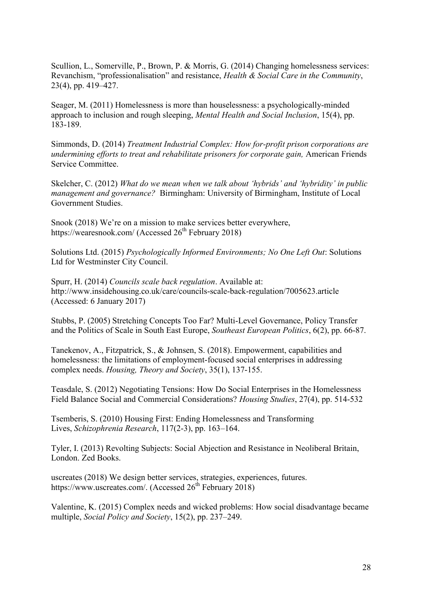Scullion, L., Somerville, P., Brown, P. & Morris, G. (2014) Changing homelessness services: Revanchism, "professionalisation" and resistance, *Health & Social Care in the Community*, 23(4), pp. 419–427.

Seager, M. (2011) Homelessness is more than houselessness: a psychologically-minded approach to inclusion and rough sleeping, *Mental Health and Social Inclusion*, 15(4), pp. 183-189.

Simmonds, D. (2014) *Treatment Industrial Complex: How for-profit prison corporations are undermining efforts to treat and rehabilitate prisoners for corporate gain,* American Friends Service Committee.

Skelcher, C. (2012) *What do we mean when we talk about 'hybrids' and 'hybridity' in public management and governance?* Birmingham: University of Birmingham, Institute of Local Government Studies.

Snook (2018) We're on a mission to make services better everywhere, https://wearesnook.com/ (Accessed  $26<sup>th</sup>$  February 2018)

Solutions Ltd. (2015) *Psychologically Informed Environments; No One Left Out*: Solutions Ltd for Westminster City Council.

Spurr, H. (2014) *Councils scale back regulation*. Available at: http://www.insidehousing.co.uk/care/councils-scale-back-regulation/7005623.article (Accessed: 6 January 2017)

Stubbs, P. (2005) Stretching Concepts Too Far? Multi-Level Governance, Policy Transfer and the Politics of Scale in South East Europe, *Southeast European Politics*, 6(2), pp. 66-87.

Tanekenov, A., Fitzpatrick, S., & Johnsen, S. (2018). Empowerment, capabilities and homelessness: the limitations of employment-focused social enterprises in addressing complex needs. *Housing, Theory and Society*, 35(1), 137-155.

Teasdale, S. (2012) Negotiating Tensions: How Do Social Enterprises in the Homelessness Field Balance Social and Commercial Considerations? *Housing Studies*, 27(4), pp. 514-532

Tsemberis, S. (2010) Housing First: Ending Homelessness and Transforming Lives, *Schizophrenia Research*, 117(2-3), pp. 163–164.

Tyler, I. (2013) Revolting Subjects: Social Abjection and Resistance in Neoliberal Britain, London. Zed Books.

uscreates (2018) We design better services, strategies, experiences, futures. https://www.uscreates.com/. (Accessed  $26<sup>th</sup>$  February 2018)

Valentine, K. (2015) Complex needs and wicked problems: How social disadvantage became multiple, *Social Policy and Society*, 15(2), pp. 237–249.